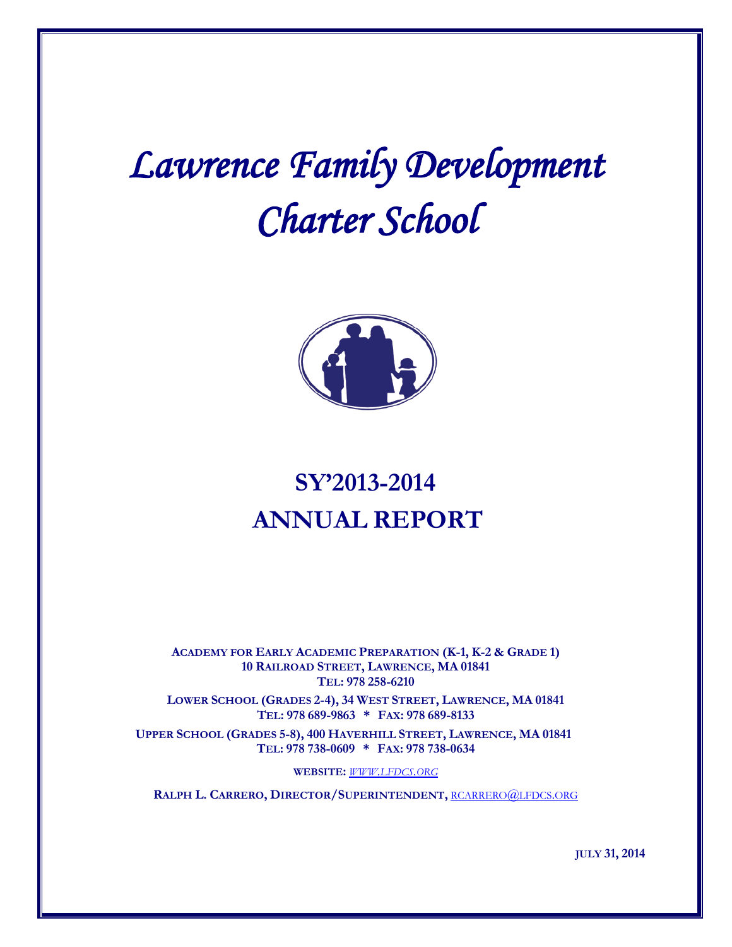# *Lawrence Family Development Charter School*



# **SY'2013-2014 ANNUAL REPORT**

**ACADEMY FOR EARLY ACADEMIC PREPARATION (K-1, K-2 & GRADE 1) 10 RAILROAD STREET, LAWRENCE, MA 01841 TEL: 978 258-6210**

**LOWER SCHOOL (GRADES 2-4), 34 WEST STREET, LAWRENCE, MA 01841 TEL: 978 689-9863 \* FAX: 978 689-8133**

**UPPER SCHOOL (GRADES 5-8), 400 HAVERHILL STREET, LAWRENCE, MA 01841 TEL: 978 738-0609 \* FAX: 978 738-0634**

**WEBSITE:** *[WWW.LFDCS.ORG](http://www.lfdcs.org/)*

**RALPH L. CARRERO, DIRECTOR/SUPERINTENDENT,** [RCARRERO@LFDCS.ORG](mailto:rcarrero@lfdcs.org)

**JULY 31, 2014**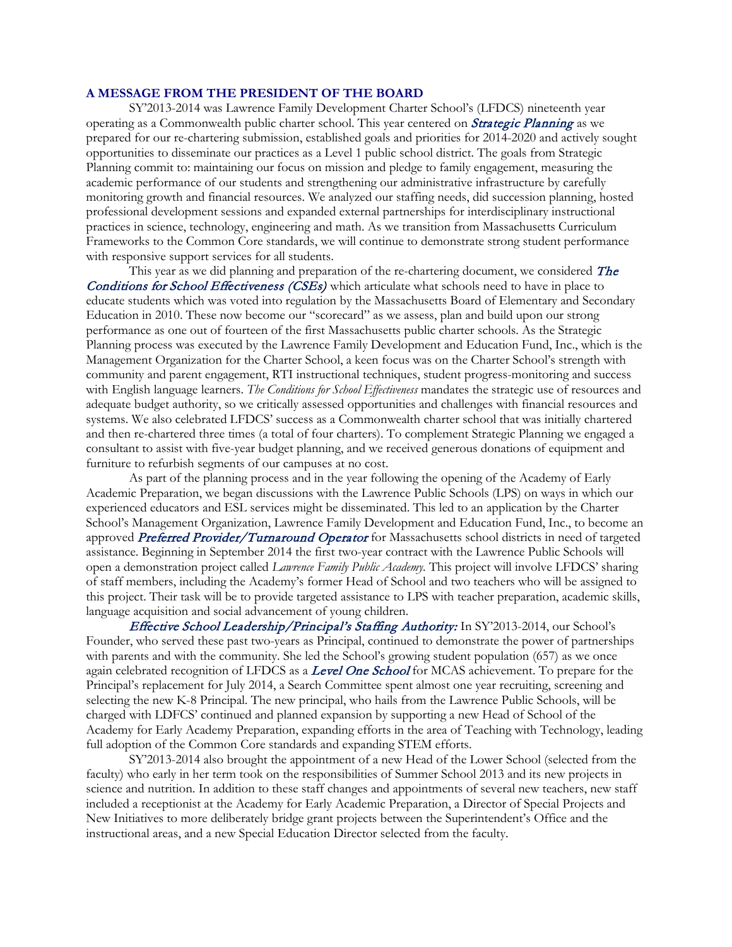#### **A MESSAGE FROM THE PRESIDENT OF THE BOARD**

SY'2013-2014 was Lawrence Family Development Charter School's (LFDCS) nineteenth year operating as a Commonwealth public charter school. This year centered on **Strategic Planning** as we prepared for our re-chartering submission, established goals and priorities for 2014-2020 and actively sought opportunities to disseminate our practices as a Level 1 public school district. The goals from Strategic Planning commit to: maintaining our focus on mission and pledge to family engagement, measuring the academic performance of our students and strengthening our administrative infrastructure by carefully monitoring growth and financial resources. We analyzed our staffing needs, did succession planning, hosted professional development sessions and expanded external partnerships for interdisciplinary instructional practices in science, technology, engineering and math. As we transition from Massachusetts Curriculum Frameworks to the Common Core standards, we will continue to demonstrate strong student performance with responsive support services for all students.

This year as we did planning and preparation of the re-chartering document, we considered  $The$ Conditions for School Effectiveness (CSEs) which articulate what schools need to have in place to educate students which was voted into regulation by the Massachusetts Board of Elementary and Secondary Education in 2010. These now become our "scorecard" as we assess, plan and build upon our strong performance as one out of fourteen of the first Massachusetts public charter schools. As the Strategic Planning process was executed by the Lawrence Family Development and Education Fund, Inc., which is the Management Organization for the Charter School, a keen focus was on the Charter School's strength with community and parent engagement, RTI instructional techniques, student progress-monitoring and success with English language learners. *The Conditions for School Effectiveness* mandates the strategic use of resources and adequate budget authority, so we critically assessed opportunities and challenges with financial resources and systems. We also celebrated LFDCS' success as a Commonwealth charter school that was initially chartered and then re-chartered three times (a total of four charters). To complement Strategic Planning we engaged a consultant to assist with five-year budget planning, and we received generous donations of equipment and furniture to refurbish segments of our campuses at no cost.

As part of the planning process and in the year following the opening of the Academy of Early Academic Preparation, we began discussions with the Lawrence Public Schools (LPS) on ways in which our experienced educators and ESL services might be disseminated. This led to an application by the Charter School's Management Organization, Lawrence Family Development and Education Fund, Inc., to become an approved Preferred Provider/Turnaround Operator for Massachusetts school districts in need of targeted assistance. Beginning in September 2014 the first two-year contract with the Lawrence Public Schools will open a demonstration project called *Lawrence Family Public Academy.* This project will involve LFDCS' sharing of staff members, including the Academy's former Head of School and two teachers who will be assigned to this project. Their task will be to provide targeted assistance to LPS with teacher preparation, academic skills, language acquisition and social advancement of young children.

Effective School Leadership/Principal's Staffing Authority: In SY'2013-2014, our School's Founder, who served these past two-years as Principal, continued to demonstrate the power of partnerships with parents and with the community. She led the School's growing student population (657) as we once again celebrated recognition of LFDCS as a Level One School for MCAS achievement. To prepare for the Principal's replacement for July 2014, a Search Committee spent almost one year recruiting, screening and selecting the new K-8 Principal. The new principal, who hails from the Lawrence Public Schools, will be charged with LDFCS' continued and planned expansion by supporting a new Head of School of the Academy for Early Academy Preparation, expanding efforts in the area of Teaching with Technology, leading full adoption of the Common Core standards and expanding STEM efforts.

SY'2013-2014 also brought the appointment of a new Head of the Lower School (selected from the faculty) who early in her term took on the responsibilities of Summer School 2013 and its new projects in science and nutrition. In addition to these staff changes and appointments of several new teachers, new staff included a receptionist at the Academy for Early Academic Preparation, a Director of Special Projects and New Initiatives to more deliberately bridge grant projects between the Superintendent's Office and the instructional areas, and a new Special Education Director selected from the faculty.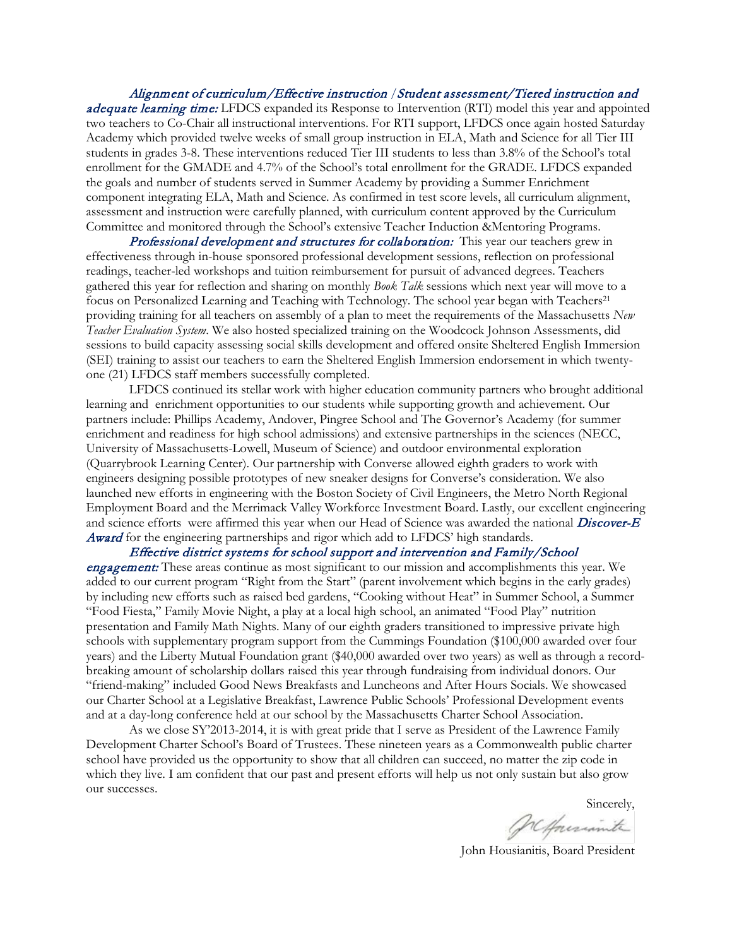Alignment of curriculum/Effective instruction /Student assessment/Tiered instruction and adequate learning time: LFDCS expanded its Response to Intervention (RTI) model this year and appointed two teachers to Co-Chair all instructional interventions. For RTI support, LFDCS once again hosted Saturday Academy which provided twelve weeks of small group instruction in ELA, Math and Science for all Tier III students in grades 3-8. These interventions reduced Tier III students to less than 3.8% of the School's total enrollment for the GMADE and 4.7% of the School's total enrollment for the GRADE. LFDCS expanded the goals and number of students served in Summer Academy by providing a Summer Enrichment component integrating ELA, Math and Science. As confirmed in test score levels, all curriculum alignment, assessment and instruction were carefully planned, with curriculum content approved by the Curriculum Committee and monitored through the School's extensive Teacher Induction &Mentoring Programs.

Professional development and structures for collaboration: This year our teachers grew in effectiveness through in-house sponsored professional development sessions, reflection on professional readings, teacher-led workshops and tuition reimbursement for pursuit of advanced degrees. Teachers gathered this year for reflection and sharing on monthly *Book Talk* sessions which next year will move to a focus on Personalized Learning and Teaching with Technology. The school year began with Teachers<sup>21</sup> providing training for all teachers on assembly of a plan to meet the requirements of the Massachusetts *New Teacher Evaluation System*. We also hosted specialized training on the Woodcock Johnson Assessments, did sessions to build capacity assessing social skills development and offered onsite Sheltered English Immersion (SEI) training to assist our teachers to earn the Sheltered English Immersion endorsement in which twentyone (21) LFDCS staff members successfully completed.

LFDCS continued its stellar work with higher education community partners who brought additional learning and enrichment opportunities to our students while supporting growth and achievement. Our partners include: Phillips Academy, Andover, Pingree School and The Governor's Academy (for summer enrichment and readiness for high school admissions) and extensive partnerships in the sciences (NECC, University of Massachusetts-Lowell, Museum of Science) and outdoor environmental exploration (Quarrybrook Learning Center). Our partnership with Converse allowed eighth graders to work with engineers designing possible prototypes of new sneaker designs for Converse's consideration. We also launched new efforts in engineering with the Boston Society of Civil Engineers, the Metro North Regional Employment Board and the Merrimack Valley Workforce Investment Board. Lastly, our excellent engineering and science efforts were affirmed this year when our Head of Science was awarded the national *Discover-E* Award for the engineering partnerships and rigor which add to LFDCS' high standards.

Effective district systems for school support and intervention and Family/School **engagement:** These areas continue as most significant to our mission and accomplishments this year. We added to our current program "Right from the Start" (parent involvement which begins in the early grades) by including new efforts such as raised bed gardens, "Cooking without Heat" in Summer School, a Summer "Food Fiesta," Family Movie Night, a play at a local high school, an animated "Food Play" nutrition presentation and Family Math Nights. Many of our eighth graders transitioned to impressive private high schools with supplementary program support from the Cummings Foundation (\$100,000 awarded over four years) and the Liberty Mutual Foundation grant (\$40,000 awarded over two years) as well as through a recordbreaking amount of scholarship dollars raised this year through fundraising from individual donors. Our "friend-making" included Good News Breakfasts and Luncheons and After Hours Socials. We showcased our Charter School at a Legislative Breakfast, Lawrence Public Schools' Professional Development events and at a day-long conference held at our school by the Massachusetts Charter School Association.

As we close SY'2013-2014, it is with great pride that I serve as President of the Lawrence Family Development Charter School's Board of Trustees. These nineteen years as a Commonwealth public charter school have provided us the opportunity to show that all children can succeed, no matter the zip code in which they live. I am confident that our past and present efforts will help us not only sustain but also grow our successes.

Sincerely,

John Housianitis, Board President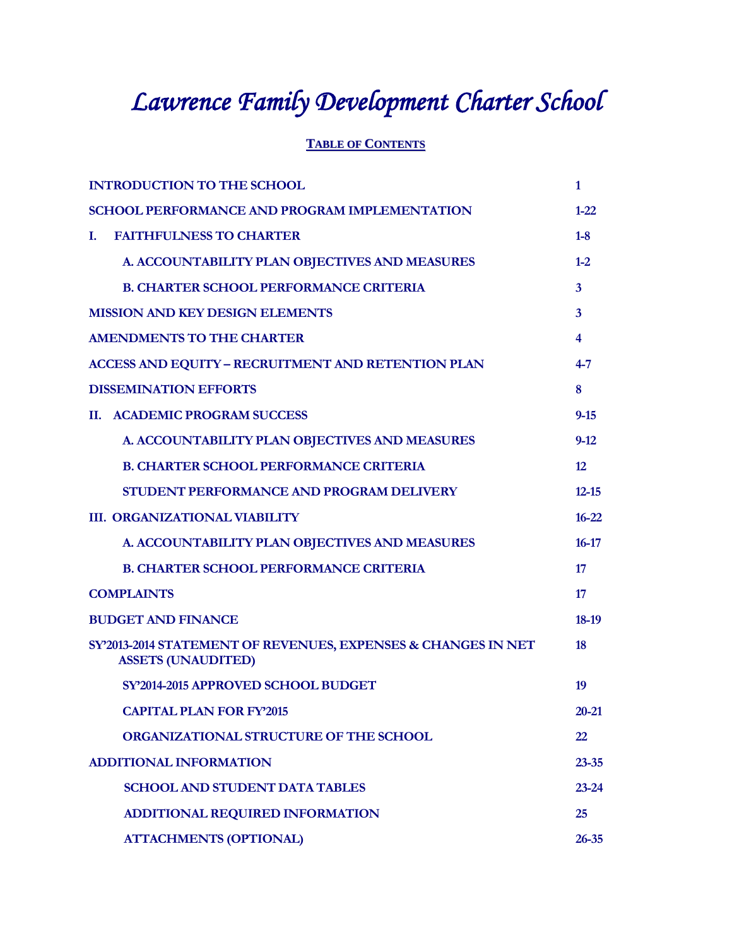# *Lawrence Family Development Charter School*

### **TABLE OF CONTENTS**

| <b>INTRODUCTION TO THE SCHOOL</b>                                                          | $\mathbf{1}$   |
|--------------------------------------------------------------------------------------------|----------------|
| <b>SCHOOL PERFORMANCE AND PROGRAM IMPLEMENTATION</b>                                       | $1 - 22$       |
| <b>FAITHFULNESS TO CHARTER</b><br>L.                                                       | $1 - 8$        |
| A. ACCOUNTABILITY PLAN OBJECTIVES AND MEASURES                                             | $1 - 2$        |
| <b>B. CHARTER SCHOOL PERFORMANCE CRITERIA</b>                                              | $\overline{3}$ |
| <b>MISSION AND KEY DESIGN ELEMENTS</b>                                                     | $\mathbf{3}$   |
| <b>AMENDMENTS TO THE CHARTER</b>                                                           | $\overline{4}$ |
| <b>ACCESS AND EQUITY - RECRUITMENT AND RETENTION PLAN</b>                                  | $4 - 7$        |
| <b>DISSEMINATION EFFORTS</b>                                                               | 8              |
| <b>II. ACADEMIC PROGRAM SUCCESS</b>                                                        | $9 - 15$       |
| A. ACCOUNTABILITY PLAN OBJECTIVES AND MEASURES                                             | $9-12$         |
| <b>B. CHARTER SCHOOL PERFORMANCE CRITERIA</b>                                              | 12             |
| STUDENT PERFORMANCE AND PROGRAM DELIVERY                                                   | $12 - 15$      |
| <b>III. ORGANIZATIONAL VIABILITY</b>                                                       | $16 - 22$      |
| A. ACCOUNTABILITY PLAN OBJECTIVES AND MEASURES                                             | $16 - 17$      |
| <b>B. CHARTER SCHOOL PERFORMANCE CRITERIA</b>                                              | 17             |
| <b>COMPLAINTS</b>                                                                          | 17             |
| <b>BUDGET AND FINANCE</b>                                                                  | 18-19          |
| SY'2013-2014 STATEMENT OF REVENUES, EXPENSES & CHANGES IN NET<br><b>ASSETS (UNAUDITED)</b> | 18             |
| SY'2014-2015 APPROVED SCHOOL BUDGET                                                        | 19             |
| <b>CAPITAL PLAN FOR FY2015</b>                                                             | 20-21          |
| ORGANIZATIONAL STRUCTURE OF THE SCHOOL                                                     | 22             |
| <b>ADDITIONAL INFORMATION</b>                                                              | $23 - 35$      |
| <b>SCHOOL AND STUDENT DATA TABLES</b>                                                      | $23 - 24$      |
| ADDITIONAL REQUIRED INFORMATION                                                            | 25             |
| <b>ATTACHMENTS (OPTIONAL)</b>                                                              | $26 - 35$      |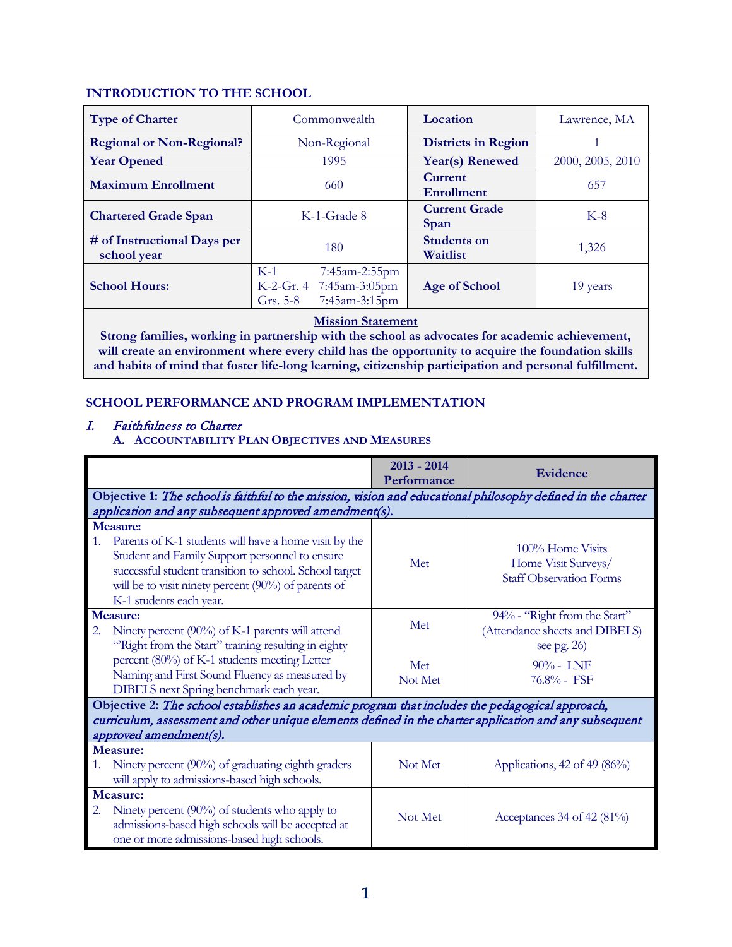#### **INTRODUCTION TO THE SCHOOL**

| <b>Type of Charter</b>                     | Location<br>Commonwealth                                                         |                                     | Lawrence, MA     |
|--------------------------------------------|----------------------------------------------------------------------------------|-------------------------------------|------------------|
| <b>Regional or Non-Regional?</b>           | Non-Regional                                                                     | <b>Districts in Region</b>          |                  |
| <b>Year Opened</b>                         | 1995                                                                             | Year(s) Renewed                     | 2000, 2005, 2010 |
| <b>Maximum Enrollment</b>                  | 660                                                                              | <b>Current</b><br><b>Enrollment</b> | 657              |
| <b>Chartered Grade Span</b>                | K-1-Grade 8                                                                      | <b>Current Grade</b><br>Span        | $K-8$            |
| # of Instructional Days per<br>school year | 180                                                                              | <b>Students on</b><br>Waitlist      | 1,326            |
| <b>School Hours:</b>                       | $K-1$<br>7:45am-2:55pm<br>K-2-Gr. 4 7:45am-3:05pm<br>7:45am-3:15pm<br>Grs. $5-8$ | Age of School                       | 19 years         |

#### **Mission Statement**

**Strong families, working in partnership with the school as advocates for academic achievement, will create an environment where every child has the opportunity to acquire the foundation skills and habits of mind that foster life-long learning, citizenship participation and personal fulfillment.**

#### **SCHOOL PERFORMANCE AND PROGRAM IMPLEMENTATION**

I. Faithfulness to Charter**A. ACCOUNTABILITY PLAN OBJECTIVES AND MEASURES**

|    |                                                                                                                                                                                                                                                                        | $2013 - 2014$<br>Performance | Evidence                                                                         |
|----|------------------------------------------------------------------------------------------------------------------------------------------------------------------------------------------------------------------------------------------------------------------------|------------------------------|----------------------------------------------------------------------------------|
|    | Objective 1: The school is faithful to the mission, vision and educational philosophy defined in the charter                                                                                                                                                           |                              |                                                                                  |
|    | application and any subsequent approved amendment(s).                                                                                                                                                                                                                  |                              |                                                                                  |
| 1. | <b>Measure:</b><br>Parents of K-1 students will have a home visit by the<br>Student and Family Support personnel to ensure<br>successful student transition to school. School target<br>will be to visit ninety percent (90%) of parents of<br>K-1 students each year. | Met                          | 100% Home Visits<br>Home Visit Surveys/<br><b>Staff Observation Forms</b>        |
|    | <b>Measure:</b>                                                                                                                                                                                                                                                        | Met                          | 94% - "Right from the Start"                                                     |
| 2. | Ninety percent (90%) of K-1 parents will attend<br>"Right from the Start" training resulting in eighty<br>percent (80%) of K-1 students meeting Letter<br>Naming and First Sound Fluency as measured by<br>DIBELS next Spring benchmark each year.                     | Met<br>Not Met               | (Attendance sheets and DIBELS)<br>see pg. $26$<br>$90\% -$ LNF<br>$76.8\%$ - FSF |
|    | Objective 2: The school establishes an academic program that includes the pedagogical approach,                                                                                                                                                                        |                              |                                                                                  |
|    | curriculum, assessment and other unique elements defined in the charter application and any subsequent                                                                                                                                                                 |                              |                                                                                  |
|    | approved amendment(s).                                                                                                                                                                                                                                                 |                              |                                                                                  |
|    | Measure:                                                                                                                                                                                                                                                               |                              |                                                                                  |
| 1. | Ninety percent (90%) of graduating eighth graders                                                                                                                                                                                                                      | Not Met                      | Applications, $42$ of $49$ ( $86\%$ )                                            |
|    | will apply to admissions-based high schools.                                                                                                                                                                                                                           |                              |                                                                                  |
| 2. | Measure:<br>Ninety percent $(90\%)$ of students who apply to<br>admissions-based high schools will be accepted at<br>one or more admissions-based high schools.                                                                                                        | Not Met                      | Acceptances 34 of 42 (81%)                                                       |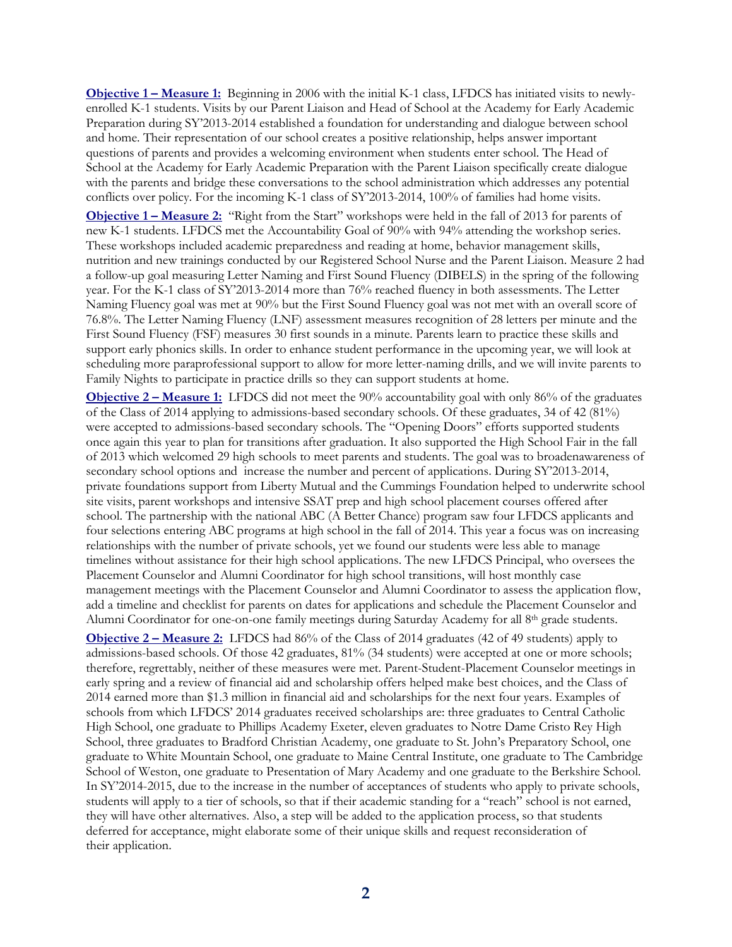**Objective 1 – Measure 1:** Beginning in 2006 with the initial K-1 class, LFDCS has initiated visits to newlyenrolled K-1 students. Visits by our Parent Liaison and Head of School at the Academy for Early Academic Preparation during SY'2013-2014 established a foundation for understanding and dialogue between school and home. Their representation of our school creates a positive relationship, helps answer important questions of parents and provides a welcoming environment when students enter school. The Head of School at the Academy for Early Academic Preparation with the Parent Liaison specifically create dialogue with the parents and bridge these conversations to the school administration which addresses any potential conflicts over policy. For the incoming K-1 class of SY'2013-2014, 100% of families had home visits.

**Objective 1 – Measure 2:** "Right from the Start" workshops were held in the fall of 2013 for parents of new K-1 students. LFDCS met the Accountability Goal of 90% with 94% attending the workshop series. These workshops included academic preparedness and reading at home, behavior management skills, nutrition and new trainings conducted by our Registered School Nurse and the Parent Liaison. Measure 2 had a follow-up goal measuring Letter Naming and First Sound Fluency (DIBELS) in the spring of the following year. For the K-1 class of SY'2013-2014 more than 76% reached fluency in both assessments. The Letter Naming Fluency goal was met at 90% but the First Sound Fluency goal was not met with an overall score of 76.8%. The Letter Naming Fluency (LNF) assessment measures recognition of 28 letters per minute and the First Sound Fluency (FSF) measures 30 first sounds in a minute. Parents learn to practice these skills and support early phonics skills. In order to enhance student performance in the upcoming year, we will look at scheduling more paraprofessional support to allow for more letter-naming drills, and we will invite parents to Family Nights to participate in practice drills so they can support students at home.

**Objective 2 – Measure 1:** LFDCS did not meet the 90% accountability goal with only 86% of the graduates of the Class of 2014 applying to admissions-based secondary schools. Of these graduates, 34 of 42 (81%) were accepted to admissions-based secondary schools. The "Opening Doors" efforts supported students once again this year to plan for transitions after graduation. It also supported the High School Fair in the fall of 2013 which welcomed 29 high schools to meet parents and students. The goal was to broadenawareness of secondary school options and increase the number and percent of applications. During SY'2013-2014, private foundations support from Liberty Mutual and the Cummings Foundation helped to underwrite school site visits, parent workshops and intensive SSAT prep and high school placement courses offered after school. The partnership with the national ABC (A Better Chance) program saw four LFDCS applicants and four selections entering ABC programs at high school in the fall of 2014. This year a focus was on increasing relationships with the number of private schools, yet we found our students were less able to manage timelines without assistance for their high school applications. The new LFDCS Principal, who oversees the Placement Counselor and Alumni Coordinator for high school transitions, will host monthly case management meetings with the Placement Counselor and Alumni Coordinator to assess the application flow, add a timeline and checklist for parents on dates for applications and schedule the Placement Counselor and Alumni Coordinator for one-on-one family meetings during Saturday Academy for all 8th grade students.

**Objective 2 – Measure 2:** LFDCS had 86% of the Class of 2014 graduates (42 of 49 students) apply to admissions-based schools. Of those 42 graduates, 81% (34 students) were accepted at one or more schools; therefore, regrettably, neither of these measures were met. Parent-Student-Placement Counselor meetings in early spring and a review of financial aid and scholarship offers helped make best choices, and the Class of 2014 earned more than \$1.3 million in financial aid and scholarships for the next four years. Examples of schools from which LFDCS' 2014 graduates received scholarships are: three graduates to Central Catholic High School, one graduate to Phillips Academy Exeter, eleven graduates to Notre Dame Cristo Rey High School, three graduates to Bradford Christian Academy, one graduate to St. John's Preparatory School, one graduate to White Mountain School, one graduate to Maine Central Institute, one graduate to The Cambridge School of Weston, one graduate to Presentation of Mary Academy and one graduate to the Berkshire School. In SY'2014-2015, due to the increase in the number of acceptances of students who apply to private schools, students will apply to a tier of schools, so that if their academic standing for a "reach" school is not earned, they will have other alternatives. Also, a step will be added to the application process, so that students deferred for acceptance, might elaborate some of their unique skills and request reconsideration of their application.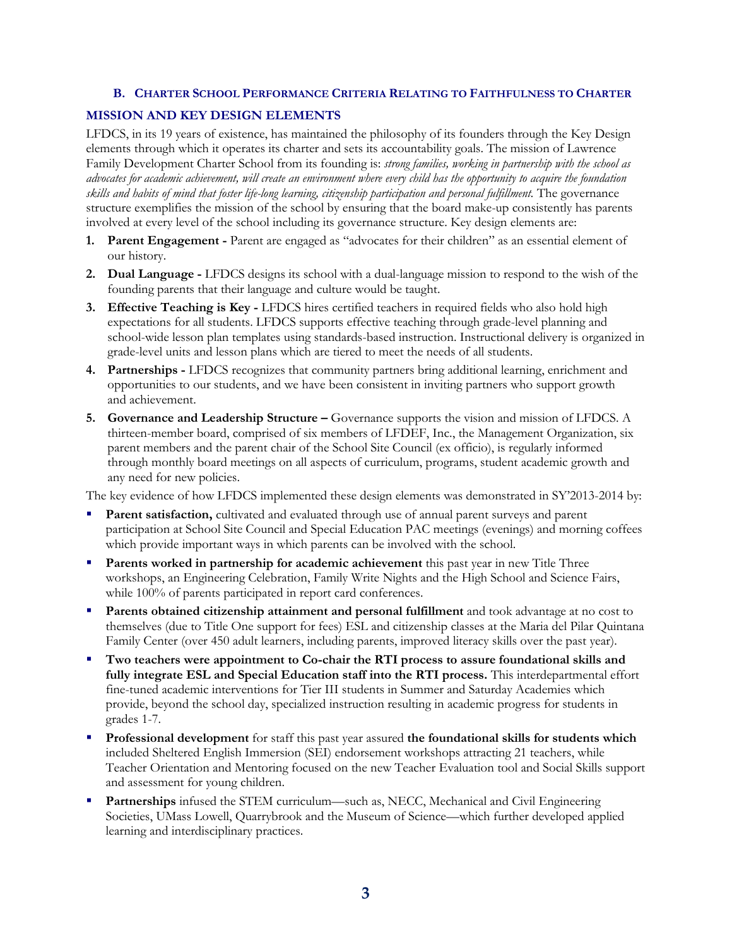#### **B. CHARTER SCHOOL PERFORMANCE CRITERIA RELATING TO FAITHFULNESS TO CHARTER**

#### **MISSION AND KEY DESIGN ELEMENTS**

LFDCS, in its 19 years of existence, has maintained the philosophy of its founders through the Key Design elements through which it operates its charter and sets its accountability goals. The mission of Lawrence Family Development Charter School from its founding is: *strong families, working in partnership with the school as advocates for academic achievement, will create an environment where every child has the opportunity to acquire the foundation skills and habits of mind that foster life-long learning, citizenship participation and personal fulfillment.* The governance structure exemplifies the mission of the school by ensuring that the board make-up consistently has parents involved at every level of the school including its governance structure. Key design elements are:

- **1. Parent Engagement -** Parent are engaged as "advocates for their children" as an essential element of our history.
- **2. Dual Language -** LFDCS designs its school with a dual-language mission to respond to the wish of the founding parents that their language and culture would be taught.
- **3. Effective Teaching is Key -** LFDCS hires certified teachers in required fields who also hold high expectations for all students. LFDCS supports effective teaching through grade-level planning and school-wide lesson plan templates using standards-based instruction. Instructional delivery is organized in grade-level units and lesson plans which are tiered to meet the needs of all students.
- **4. Partnerships -** LFDCS recognizes that community partners bring additional learning, enrichment and opportunities to our students, and we have been consistent in inviting partners who support growth and achievement.
- **5. Governance and Leadership Structure –** Governance supports the vision and mission of LFDCS. A thirteen-member board, comprised of six members of LFDEF, Inc., the Management Organization, six parent members and the parent chair of the School Site Council (ex officio), is regularly informed through monthly board meetings on all aspects of curriculum, programs, student academic growth and any need for new policies.

The key evidence of how LFDCS implemented these design elements was demonstrated in SY'2013-2014 by:

- Parent satisfaction, cultivated and evaluated through use of annual parent surveys and parent participation at School Site Council and Special Education PAC meetings (evenings) and morning coffees which provide important ways in which parents can be involved with the school.
- **Parents worked in partnership for academic achievement** this past year in new Title Three workshops, an Engineering Celebration, Family Write Nights and the High School and Science Fairs, while 100% of parents participated in report card conferences.
- **Parents obtained citizenship attainment and personal fulfillment** and took advantage at no cost to themselves (due to Title One support for fees) ESL and citizenship classes at the Maria del Pilar Quintana Family Center (over 450 adult learners, including parents, improved literacy skills over the past year).
- **Two teachers were appointment to Co-chair the RTI process to assure foundational skills and fully integrate ESL and Special Education staff into the RTI process.** This interdepartmental effort fine-tuned academic interventions for Tier III students in Summer and Saturday Academies which provide, beyond the school day, specialized instruction resulting in academic progress for students in grades 1-7.
- **Professional development** for staff this past year assured **the foundational skills for students which**  included Sheltered English Immersion (SEI) endorsement workshops attracting 21 teachers, while Teacher Orientation and Mentoring focused on the new Teacher Evaluation tool and Social Skills support and assessment for young children.
- **Partnerships** infused the STEM curriculum—such as, NECC, Mechanical and Civil Engineering Societies, UMass Lowell, Quarrybrook and the Museum of Science—which further developed applied learning and interdisciplinary practices.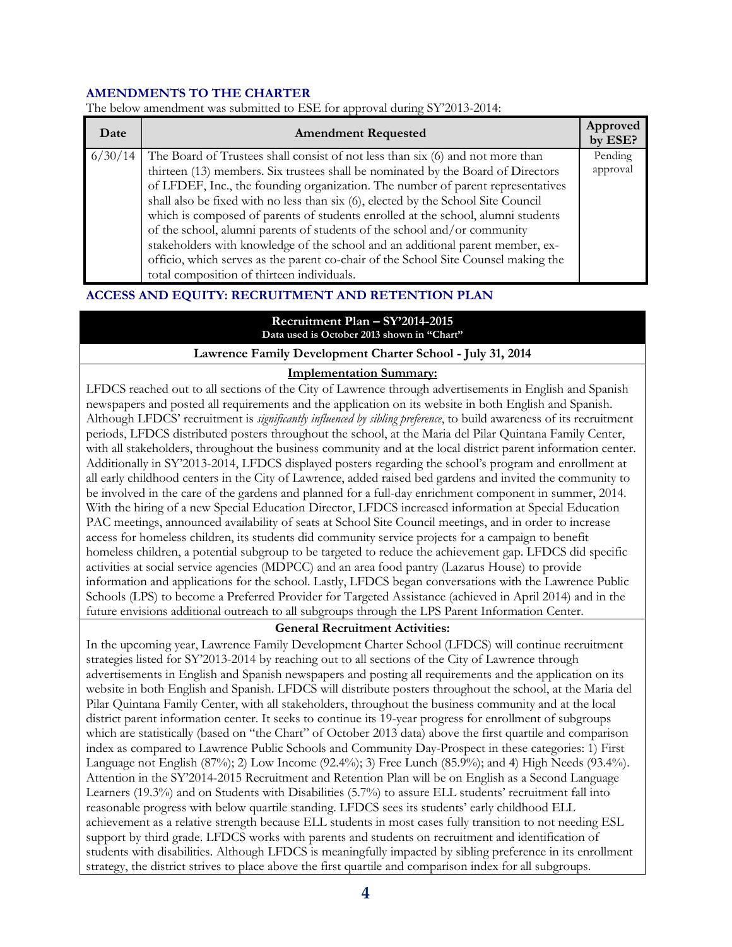#### **AMENDMENTS TO THE CHARTER**

| Date    | <b>Amendment Requested</b>                                                         | Approved<br>by ESE? |
|---------|------------------------------------------------------------------------------------|---------------------|
| 6/30/14 | The Board of Trustees shall consist of not less than six (6) and not more than     | Pending             |
|         | thirteen (13) members. Six trustees shall be nominated by the Board of Directors   | approval            |
|         | of LFDEF, Inc., the founding organization. The number of parent representatives    |                     |
|         | shall also be fixed with no less than six (6), elected by the School Site Council  |                     |
|         | which is composed of parents of students enrolled at the school, alumni students   |                     |
|         | of the school, alumni parents of students of the school and/or community           |                     |
|         | stakeholders with knowledge of the school and an additional parent member, ex-     |                     |
|         | officio, which serves as the parent co-chair of the School Site Counsel making the |                     |
|         | total composition of thirteen individuals.                                         |                     |

The below amendment was submitted to ESE for approval during SY'2013-2014:

#### **ACCESS AND EQUITY: RECRUITMENT AND RETENTION PLAN**

#### **Recruitment Plan – SY'2014-2015 Data used is October 2013 shown in "Chart"**

#### **Lawrence Family Development Charter School - July 31, 2014**

#### **Implementation Summary:**

LFDCS reached out to all sections of the City of Lawrence through advertisements in English and Spanish newspapers and posted all requirements and the application on its website in both English and Spanish. Although LFDCS' recruitment is *significantly influenced by sibling preference*, to build awareness of its recruitment periods, LFDCS distributed posters throughout the school, at the Maria del Pilar Quintana Family Center, with all stakeholders, throughout the business community and at the local district parent information center. Additionally in SY'2013-2014, LFDCS displayed posters regarding the school's program and enrollment at all early childhood centers in the City of Lawrence, added raised bed gardens and invited the community to be involved in the care of the gardens and planned for a full-day enrichment component in summer, 2014. With the hiring of a new Special Education Director, LFDCS increased information at Special Education PAC meetings, announced availability of seats at School Site Council meetings, and in order to increase access for homeless children, its students did community service projects for a campaign to benefit homeless children, a potential subgroup to be targeted to reduce the achievement gap. LFDCS did specific activities at social service agencies (MDPCC) and an area food pantry (Lazarus House) to provide information and applications for the school. Lastly, LFDCS began conversations with the Lawrence Public Schools (LPS) to become a Preferred Provider for Targeted Assistance (achieved in April 2014) and in the future envisions additional outreach to all subgroups through the LPS Parent Information Center.

#### **General Recruitment Activities:**

In the upcoming year, Lawrence Family Development Charter School (LFDCS) will continue recruitment strategies listed for SY'2013-2014 by reaching out to all sections of the City of Lawrence through advertisements in English and Spanish newspapers and posting all requirements and the application on its website in both English and Spanish. LFDCS will distribute posters throughout the school, at the Maria del Pilar Quintana Family Center, with all stakeholders, throughout the business community and at the local district parent information center. It seeks to continue its 19-year progress for enrollment of subgroups which are statistically (based on "the Chart" of October 2013 data) above the first quartile and comparison index as compared to Lawrence Public Schools and Community Day-Prospect in these categories: 1) First Language not English (87%); 2) Low Income (92.4%); 3) Free Lunch (85.9%); and 4) High Needs (93.4%). Attention in the SY'2014-2015 Recruitment and Retention Plan will be on English as a Second Language Learners (19.3%) and on Students with Disabilities (5.7%) to assure ELL students' recruitment fall into reasonable progress with below quartile standing. LFDCS sees its students' early childhood ELL achievement as a relative strength because ELL students in most cases fully transition to not needing ESL support by third grade. LFDCS works with parents and students on recruitment and identification of students with disabilities. Although LFDCS is meaningfully impacted by sibling preference in its enrollment strategy, the district strives to place above the first quartile and comparison index for all subgroups.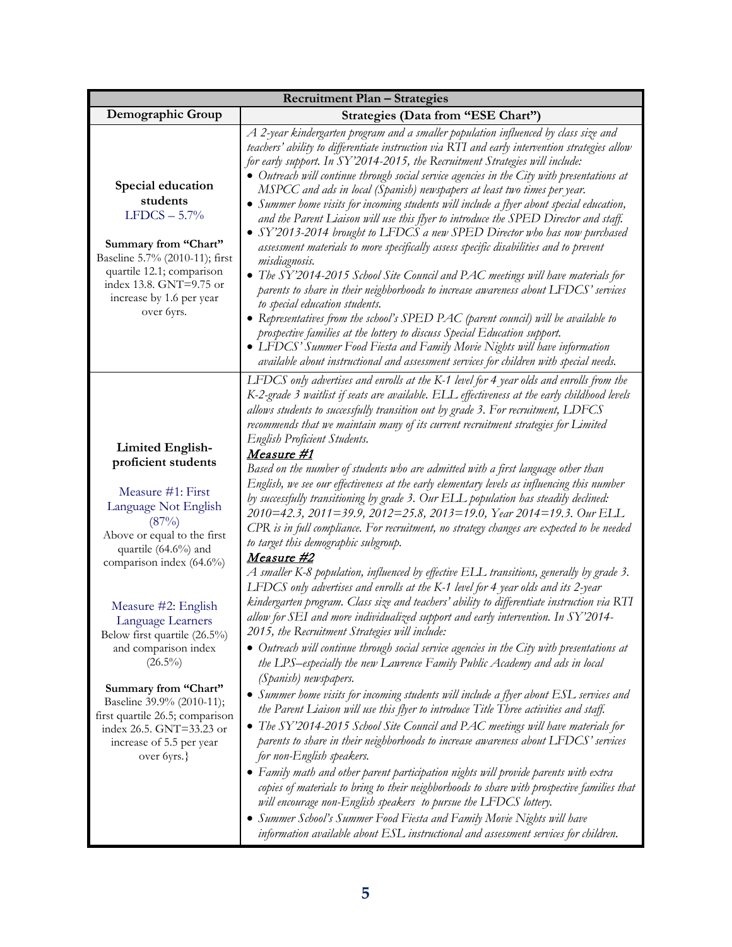| Demographic Group                                                                                                                                                                                                                                                                                                                                                                                                                                                        | Strategies (Data from "ESE Chart")                                                                                                                                                                                                                                                                                                                                                                                                                                                                                                                                                                                                                                                                                                                                                                                                                                                                                                                                                                                                                                                                                                                                                                                                                                                                                                                                                                                                                                                                                                                                                                                                                                                                                                                                                                                                                                                                                                                                                                                                                                                                                                                                                                         |
|--------------------------------------------------------------------------------------------------------------------------------------------------------------------------------------------------------------------------------------------------------------------------------------------------------------------------------------------------------------------------------------------------------------------------------------------------------------------------|------------------------------------------------------------------------------------------------------------------------------------------------------------------------------------------------------------------------------------------------------------------------------------------------------------------------------------------------------------------------------------------------------------------------------------------------------------------------------------------------------------------------------------------------------------------------------------------------------------------------------------------------------------------------------------------------------------------------------------------------------------------------------------------------------------------------------------------------------------------------------------------------------------------------------------------------------------------------------------------------------------------------------------------------------------------------------------------------------------------------------------------------------------------------------------------------------------------------------------------------------------------------------------------------------------------------------------------------------------------------------------------------------------------------------------------------------------------------------------------------------------------------------------------------------------------------------------------------------------------------------------------------------------------------------------------------------------------------------------------------------------------------------------------------------------------------------------------------------------------------------------------------------------------------------------------------------------------------------------------------------------------------------------------------------------------------------------------------------------------------------------------------------------------------------------------------------------|
|                                                                                                                                                                                                                                                                                                                                                                                                                                                                          |                                                                                                                                                                                                                                                                                                                                                                                                                                                                                                                                                                                                                                                                                                                                                                                                                                                                                                                                                                                                                                                                                                                                                                                                                                                                                                                                                                                                                                                                                                                                                                                                                                                                                                                                                                                                                                                                                                                                                                                                                                                                                                                                                                                                            |
| Special education<br>students<br>$LFDCS - 5.7%$<br>Summary from "Chart"<br>Baseline 5.7% (2010-11); first<br>quartile 12.1; comparison<br>index 13.8. GNT=9.75 or<br>increase by 1.6 per year<br>over 6yrs.                                                                                                                                                                                                                                                              | A 2-year kindergarten program and a smaller population influenced by class size and<br>teachers' ability to differentiate instruction via RTI and early intervention strategies allow<br>for early support. In SY'2014-2015, the Recruitment Strategies will include:<br>• Outreach will continue through social service agencies in the City with presentations at<br>MSPCC and ads in local (Spanish) newspapers at least two times per year.<br>• Summer home visits for incoming students will include a flyer about special education,<br>and the Parent Liaison will use this flyer to introduce the SPED Director and staff.<br>• SY'2013-2014 brought to LFDCS a new SPED Director who has now purchased<br>assessment materials to more specifically assess specific disabilities and to prevent<br>misdiagnosis.<br>• The SY'2014-2015 School Site Council and PAC meetings will have materials for<br>parents to share in their neighborhoods to increase awareness about LFDCS' services<br>to special education students.<br>• Representatives from the school's SPED PAC (parent council) will be available to<br>prospective families at the lottery to discuss Special Education support.<br>• LFDCS' Summer Food Fiesta and Family Movie Nights will have information<br>available about instructional and assessment services for children with special needs.                                                                                                                                                                                                                                                                                                                                                                                                                                                                                                                                                                                                                                                                                                                                                                                                                           |
| <b>Limited English-</b><br>proficient students<br>Measure #1: First<br>Language Not English<br>(87%)<br>Above or equal to the first<br>quartile (64.6%) and<br>comparison index (64.6%)<br>Measure #2: English<br>Language Learners<br>Below first quartile (26.5%)<br>and comparison index<br>$(26.5\%)$<br>Summary from "Chart"<br>Baseline 39.9% (2010-11);<br>first quartile 26.5; comparison<br>index 26.5. GNT=33.23 or<br>increase of 5.5 per year<br>over 6yrs.} | LFDCS only advertises and enrolls at the K-1 level for 4 year olds and enrolls from the<br>K-2-grade 3 waitlist if seats are available. ELL effectiveness at the early childhood levels<br>allows students to successfully transition out by grade 3. For recruitment, LDFCS<br>recommends that we maintain many of its current recruitment strategies for Limited<br><b>English Proficient Students.</b><br>Measure #1<br>Based on the number of students who are admitted with a first language other than<br>English, we see our effectiveness at the early elementary levels as influencing this number<br>by successfully transitioning by grade 3. Our ELL population has steadily declined:<br>2010=42.3, 2011=39.9, 2012=25.8, 2013=19.0, Year 2014=19.3. Our ELL<br>CPR is in full compliance. For recruitment, no strategy changes are expected to be needed<br>to target this demographic subgroup.<br>Measure #2<br>A smaller K-8 population, influenced by effective ELL transitions, generally by grade 3.<br>LFDCS only advertises and enrolls at the K-1 level for 4 year olds and its 2-year<br>kindergarten program. Class size and teachers' ability to differentiate instruction via RTI<br>allow for SEI and more individualized support and early intervention. In SY'2014-<br>2015, the Recruitment Strategies will include:<br>• Outreach will continue through social service agencies in the City with presentations at<br>the LPS-especially the new Lawrence Family Public Academy and ads in local<br>(Spanish) newspapers.<br>Summer home visits for incoming students will include a flyer about ESL services and<br>the Parent Liaison will use this flyer to introduce Title Three activities and staff.<br>• The SY'2014-2015 School Site Council and PAC meetings will have materials for<br>parents to share in their neighborhoods to increase awareness about LFDCS' services<br>for non-English speakers.<br>• Family math and other parent participation nights will provide parents with extra<br>copies of materials to bring to their neighborhoods to share with prospective families that<br>will encourage non-English speakers to pursue the LFDCS lottery. |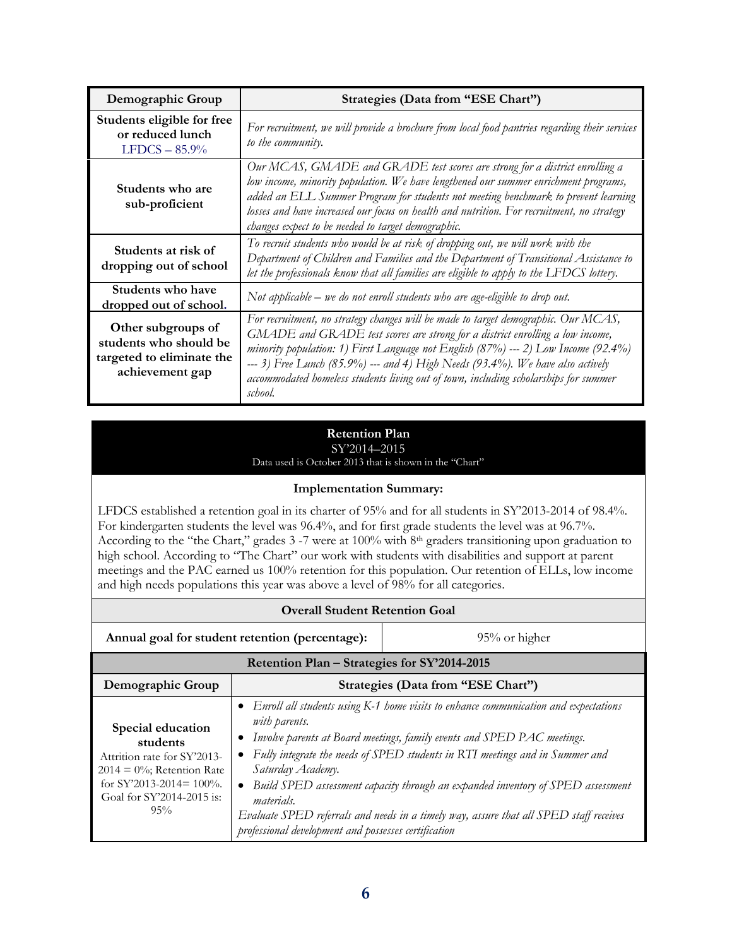| Demographic Group                                                                            | Strategies (Data from "ESE Chart")                                                                                                                                                                                                                                                                                                                                                                                                                 |
|----------------------------------------------------------------------------------------------|----------------------------------------------------------------------------------------------------------------------------------------------------------------------------------------------------------------------------------------------------------------------------------------------------------------------------------------------------------------------------------------------------------------------------------------------------|
| Students eligible for free<br>or reduced lunch<br>$LFDCS - 85.9%$                            | For recruitment, we will provide a brochure from local food pantries regarding their services<br>to the community.                                                                                                                                                                                                                                                                                                                                 |
| Students who are<br>sub-proficient                                                           | Our MCAS, GMADE and GRADE test scores are strong for a district enrolling a<br>low income, minority population. We have lengthened our summer enrichment programs,<br>added an ELL Summer Program for students not meeting benchmark to prevent learning<br>losses and have increased our focus on health and nutrition. For recruitment, no strategy<br>changes expect to be needed to target demographic.                                        |
| Students at risk of<br>dropping out of school                                                | To recruit students who would be at risk of dropping out, we will work with the<br>Department of Children and Families and the Department of Transitional Assistance to<br>let the professionals know that all families are eligible to apply to the LFDCS lottery.                                                                                                                                                                                |
| Students who have<br>dropped out of school.                                                  | Not applicable $-$ we do not enroll students who are age-eligible to drop out.                                                                                                                                                                                                                                                                                                                                                                     |
| Other subgroups of<br>students who should be<br>targeted to eliminate the<br>achievement gap | For recruitment, no strategy changes will be made to target demographic. Our MCAS,<br>GMADE and GRADE test scores are strong for a district enrolling a low income,<br>minority population: 1) First Language not English $(87%)$ --- 2) Low Income $(92.4%)$<br>--- 3) Free Lunch (85.9%) --- and 4) High Needs (93.4%). We have also actively<br>accommodated homeless students living out of town, including scholarships for summer<br>school. |

#### **Retention Plan** SY'2014–2015

Data used is October 2013 that is shown in the "Chart"

#### **Implementation Summary:**

LFDCS established a retention goal in its charter of 95% and for all students in SY'2013-2014 of 98.4%. For kindergarten students the level was 96.4%, and for first grade students the level was at 96.7%. According to the "the Chart," grades 3 -7 were at 100% with 8th graders transitioning upon graduation to high school. According to "The Chart" our work with students with disabilities and support at parent meetings and the PAC earned us 100% retention for this population. Our retention of ELLs, low income and high needs populations this year was above a level of 98% for all categories.

| <b>Overall Student Retention Goal</b>                                                                                                                            |                                                                                                                                                                                                                                                                                                                                                                                                                                                                                                                                                    |  |  |
|------------------------------------------------------------------------------------------------------------------------------------------------------------------|----------------------------------------------------------------------------------------------------------------------------------------------------------------------------------------------------------------------------------------------------------------------------------------------------------------------------------------------------------------------------------------------------------------------------------------------------------------------------------------------------------------------------------------------------|--|--|
| Annual goal for student retention (percentage):<br>$95%$ or higher                                                                                               |                                                                                                                                                                                                                                                                                                                                                                                                                                                                                                                                                    |  |  |
| Retention Plan - Strategies for SY'2014-2015                                                                                                                     |                                                                                                                                                                                                                                                                                                                                                                                                                                                                                                                                                    |  |  |
| Demographic Group                                                                                                                                                | Strategies (Data from "ESE Chart")                                                                                                                                                                                                                                                                                                                                                                                                                                                                                                                 |  |  |
| Special education<br>students<br>Attrition rate for SY'2013-<br>$2014 = 0\%$ ; Retention Rate<br>for SY'2013-2014= $100\%$ .<br>Goal for SY'2014-2015 is:<br>95% | • Enroll all students using K-1 home visits to enhance communication and expectations<br>with parents.<br>Involve parents at Board meetings, family events and SPED PAC meetings.<br>• Fully integrate the needs of SPED students in RTI meetings and in Summer and<br>Saturday Academy.<br>Build SPED assessment capacity through an expanded inventory of SPED assessment<br><i>materials.</i><br>Evaluate SPED referrals and needs in a timely way, assure that all SPED staff receives<br>professional development and possesses certification |  |  |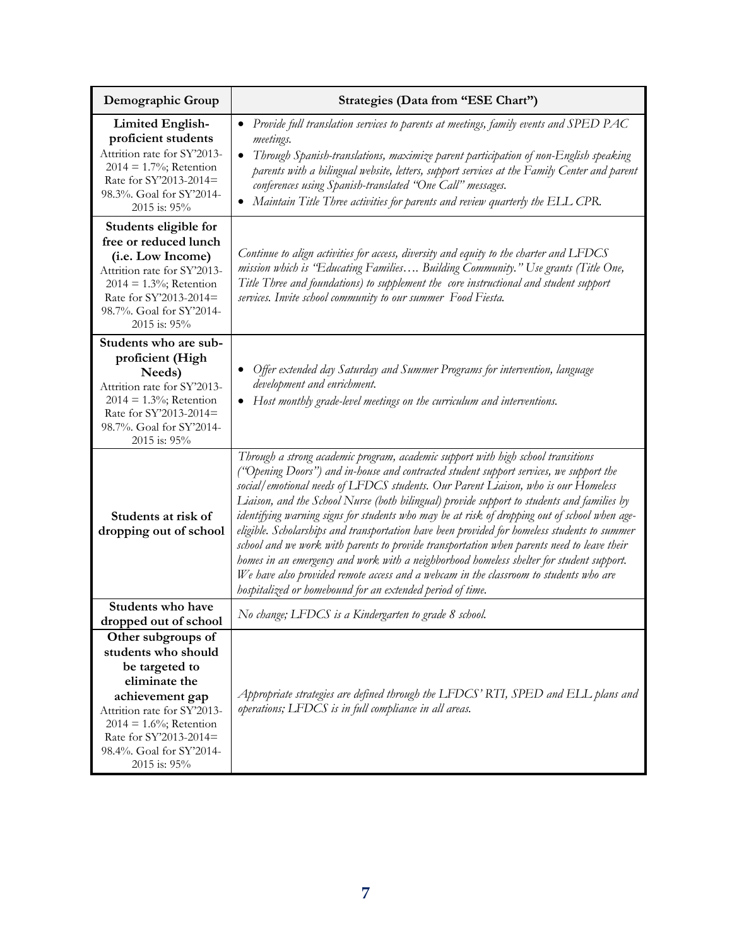| Demographic Group                                                                                                                                                                                                                  | Strategies (Data from "ESE Chart")                                                                                                                                                                                                                                                                                                                                                                                                                                                                                                                                                                                                                                                                                                                                                                                                                                                                             |  |  |
|------------------------------------------------------------------------------------------------------------------------------------------------------------------------------------------------------------------------------------|----------------------------------------------------------------------------------------------------------------------------------------------------------------------------------------------------------------------------------------------------------------------------------------------------------------------------------------------------------------------------------------------------------------------------------------------------------------------------------------------------------------------------------------------------------------------------------------------------------------------------------------------------------------------------------------------------------------------------------------------------------------------------------------------------------------------------------------------------------------------------------------------------------------|--|--|
| <b>Limited English-</b><br>proficient students<br>Attrition rate for SY'2013-<br>$2014 = 1.7\%$ ; Retention<br>Rate for SY'2013-2014=<br>98.3%. Goal for SY'2014-<br>2015 is: 95%                                                  | Provide full translation services to parents at meetings, family events and SPED PAC<br>$\bullet$<br>meetings.<br>Through Spanish-translations, maximize parent participation of non-English speaking<br>$\bullet$<br>parents with a bilingual website, letters, support services at the Family Center and parent<br>conferences using Spanish-translated "One Call" messages.<br>Maintain Title Three activities for parents and review quarterly the ELL CPR.                                                                                                                                                                                                                                                                                                                                                                                                                                                |  |  |
| Students eligible for<br>free or reduced lunch<br>(i.e. Low Income)<br>Attrition rate for SY'2013-<br>$2014 = 1.3\%$ ; Retention<br>Rate for SY'2013-2014=<br>98.7%. Goal for SY'2014-<br>2015 is: 95%                             | Continue to align activities for access, diversity and equity to the charter and LFDCS<br>mission which is "Educating Families Building Community." Use grants (Title One,<br>Title Three and foundations) to supplement the core instructional and student support<br>services. Invite school community to our summer Food Fiesta.                                                                                                                                                                                                                                                                                                                                                                                                                                                                                                                                                                            |  |  |
| Students who are sub-<br>proficient (High<br>Needs)<br>Attrition rate for SY'2013-<br>$2014 = 1.3\%$ ; Retention<br>Rate for SY'2013-2014=<br>98.7%. Goal for SY'2014-<br>2015 is: 95%                                             | Offer extended day Saturday and Summer Programs for intervention, language<br>$\bullet$<br>development and enrichment.<br>Host monthly grade-level meetings on the curriculum and interventions.                                                                                                                                                                                                                                                                                                                                                                                                                                                                                                                                                                                                                                                                                                               |  |  |
| Students at risk of<br>dropping out of school                                                                                                                                                                                      | Through a strong academic program, academic support with high school transitions<br>("Opening Doors") and in-house and contracted student support services, we support the<br>social/emotional needs of LFDCS students. Our Parent Liaison, who is our Homeless<br>Liaison, and the School Nurse (both bilingual) provide support to students and families by<br>identifying warning signs for students who may be at risk of dropping out of school when age-<br>eligible. Scholarships and transportation have been provided for homeless students to summer<br>school and we work with parents to provide transportation when parents need to leave their<br>homes in an emergency and work with a neighborhood homeless shelter for student support.<br>We have also provided remote access and a webcam in the classroom to students who are<br>hospitalized or homebound for an extended period of time. |  |  |
| Students who have<br>dropped out of school                                                                                                                                                                                         | No change; LFDCS is a Kindergarten to grade 8 school.                                                                                                                                                                                                                                                                                                                                                                                                                                                                                                                                                                                                                                                                                                                                                                                                                                                          |  |  |
| Other subgroups of<br>students who should<br>be targeted to<br>eliminate the<br>achievement gap<br>Attrition rate for SY'2013-<br>$2014 = 1.6\%$ ; Retention<br>Rate for SY'2013-2014=<br>98.4%. Goal for SY'2014-<br>2015 is: 95% | Appropriate strategies are defined through the LFDCS' RTI, SPED and ELL plans and<br>operations; LFDCS is in full compliance in all areas.                                                                                                                                                                                                                                                                                                                                                                                                                                                                                                                                                                                                                                                                                                                                                                     |  |  |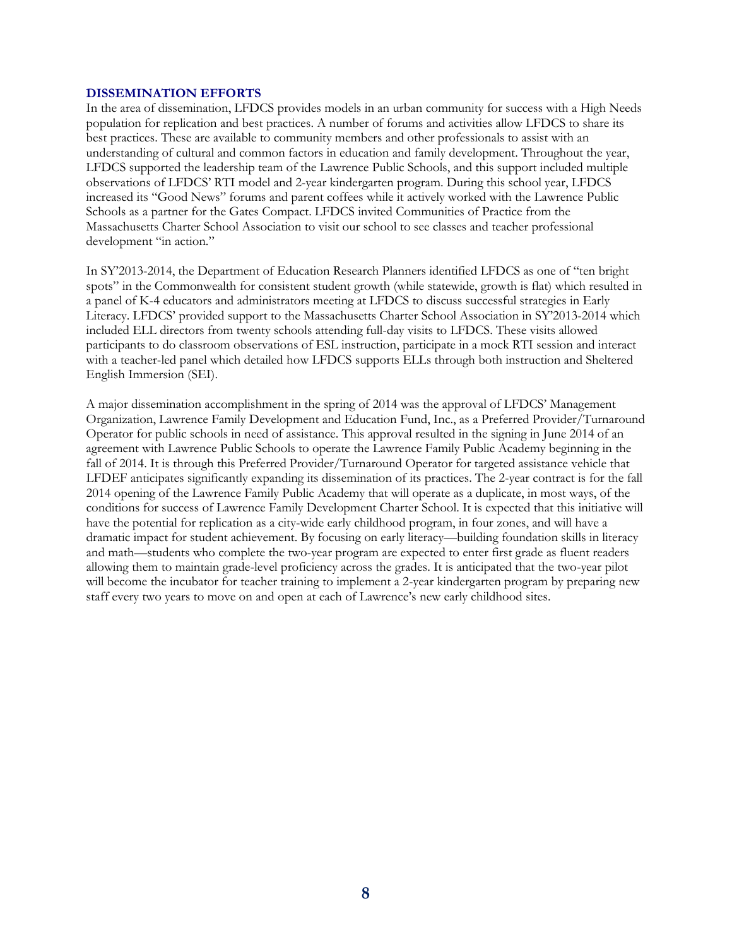#### **DISSEMINATION EFFORTS**

In the area of dissemination, LFDCS provides models in an urban community for success with a High Needs population for replication and best practices. A number of forums and activities allow LFDCS to share its best practices. These are available to community members and other professionals to assist with an understanding of cultural and common factors in education and family development. Throughout the year, LFDCS supported the leadership team of the Lawrence Public Schools, and this support included multiple observations of LFDCS' RTI model and 2-year kindergarten program. During this school year, LFDCS increased its "Good News" forums and parent coffees while it actively worked with the Lawrence Public Schools as a partner for the Gates Compact. LFDCS invited Communities of Practice from the Massachusetts Charter School Association to visit our school to see classes and teacher professional development "in action."

In SY'2013-2014, the Department of Education Research Planners identified LFDCS as one of "ten bright spots" in the Commonwealth for consistent student growth (while statewide, growth is flat) which resulted in a panel of K-4 educators and administrators meeting at LFDCS to discuss successful strategies in Early Literacy. LFDCS' provided support to the Massachusetts Charter School Association in SY'2013-2014 which included ELL directors from twenty schools attending full-day visits to LFDCS. These visits allowed participants to do classroom observations of ESL instruction, participate in a mock RTI session and interact with a teacher-led panel which detailed how LFDCS supports ELLs through both instruction and Sheltered English Immersion (SEI).

A major dissemination accomplishment in the spring of 2014 was the approval of LFDCS' Management Organization, Lawrence Family Development and Education Fund, Inc., as a Preferred Provider/Turnaround Operator for public schools in need of assistance. This approval resulted in the signing in June 2014 of an agreement with Lawrence Public Schools to operate the Lawrence Family Public Academy beginning in the fall of 2014. It is through this Preferred Provider/Turnaround Operator for targeted assistance vehicle that LFDEF anticipates significantly expanding its dissemination of its practices. The 2-year contract is for the fall 2014 opening of the Lawrence Family Public Academy that will operate as a duplicate, in most ways, of the conditions for success of Lawrence Family Development Charter School. It is expected that this initiative will have the potential for replication as a city-wide early childhood program, in four zones, and will have a dramatic impact for student achievement. By focusing on early literacy—building foundation skills in literacy and math—students who complete the two-year program are expected to enter first grade as fluent readers allowing them to maintain grade-level proficiency across the grades. It is anticipated that the two-year pilot will become the incubator for teacher training to implement a 2-year kindergarten program by preparing new staff every two years to move on and open at each of Lawrence's new early childhood sites.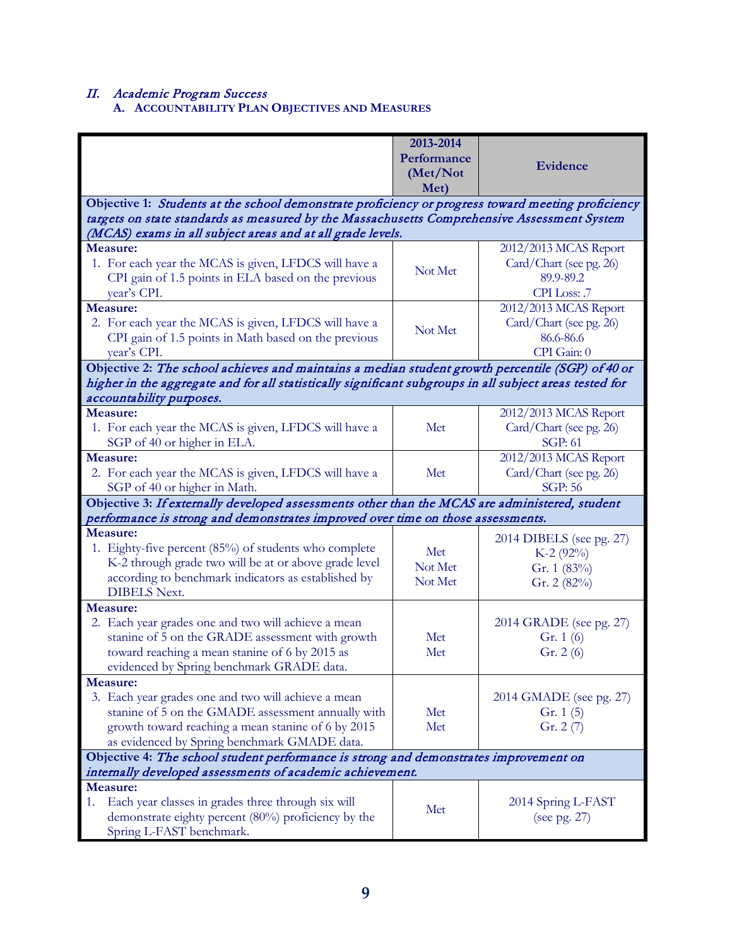II. Academic Program Success**A. ACCOUNTABILITY PLAN OBJECTIVES AND MEASURES**

|                                                                                                                                                           | 2013-2014<br>Performance<br>(Met/Not<br>Met) | <b>Evidence</b>                                             |
|-----------------------------------------------------------------------------------------------------------------------------------------------------------|----------------------------------------------|-------------------------------------------------------------|
| Objective 1: Students at the school demonstrate proficiency or progress toward meeting proficiency                                                        |                                              |                                                             |
| targets on state standards as measured by the Massachusetts Comprehensive Assessment System<br>(MCAS) exams in all subject areas and at all grade levels. |                                              |                                                             |
| Measure:                                                                                                                                                  |                                              | 2012/2013 MCAS Report                                       |
| 1. For each year the MCAS is given, LFDCS will have a<br>CPI gain of 1.5 points in ELA based on the previous<br>year's CPI.                               | Not Met                                      | Card/Chart (see pg. 26)<br>89.9-89.2<br>CPI Loss: .7        |
| <b>Measure:</b>                                                                                                                                           |                                              | 2012/2013 MCAS Report                                       |
| 2. For each year the MCAS is given, LFDCS will have a<br>CPI gain of 1.5 points in Math based on the previous<br>year's CPI.                              | Not Met                                      | Card/Chart (see pg. 26)<br>86.6-86.6<br>CPI Gain: 0         |
| Objective 2: The school achieves and maintains a median student growth percentile (SGP) of 40 or                                                          |                                              |                                                             |
| higher in the aggregate and for all statistically significant subgroups in all subject areas tested for                                                   |                                              |                                                             |
| accountability purposes.                                                                                                                                  |                                              |                                                             |
| Measure:<br>1. For each year the MCAS is given, LFDCS will have a<br>SGP of 40 or higher in ELA.                                                          | Met                                          | 2012/2013 MCAS Report<br>Card/Chart (see pg. 26)<br>SGP: 61 |
| <b>Measure:</b>                                                                                                                                           |                                              | 2012/2013 MCAS Report                                       |
| 2. For each year the MCAS is given, LFDCS will have a<br>SGP of 40 or higher in Math.                                                                     | Met                                          | Card/Chart (see pg. 26)<br><b>SGP: 56</b>                   |
| Objective 3: If externally developed assessments other than the MCAS are administered, student                                                            |                                              |                                                             |
| performance is strong and demonstrates improved over time on those assessments.                                                                           |                                              |                                                             |
| <b>Measure:</b>                                                                                                                                           |                                              | 2014 DIBELS (see pg. 27)                                    |
| 1. Eighty-five percent (85%) of students who complete                                                                                                     | Met                                          | K-2 $(92%)$                                                 |
| K-2 through grade two will be at or above grade level                                                                                                     | Not Met                                      | Gr. 1 (83%)                                                 |
| according to benchmark indicators as established by                                                                                                       | Not Met                                      | Gr. 2 (82%)                                                 |
| <b>DIBELS Next.</b>                                                                                                                                       |                                              |                                                             |
| Measure:                                                                                                                                                  |                                              |                                                             |
| 2. Each year grades one and two will achieve a mean                                                                                                       | Met                                          | 2014 GRADE (see pg. 27)                                     |
| stanine of 5 on the GRADE assessment with growth<br>toward reaching a mean stanine of 6 by 2015 as                                                        | Met                                          | Gr. $1(6)$<br>Gr. $2(6)$                                    |
| evidenced by Spring benchmark GRADE data.                                                                                                                 |                                              |                                                             |
| Measure:                                                                                                                                                  |                                              |                                                             |
| 3. Each year grades one and two will achieve a mean                                                                                                       |                                              | 2014 GMADE (see pg. 27)                                     |
| stanine of 5 on the GMADE assessment annually with                                                                                                        | Met                                          | Gr. $1(5)$                                                  |
| growth toward reaching a mean stanine of 6 by 2015                                                                                                        | Met                                          | Gr. $2(7)$                                                  |
| as evidenced by Spring benchmark GMADE data.                                                                                                              |                                              |                                                             |
| Objective 4: The school student performance is strong and demonstrates improvement on                                                                     |                                              |                                                             |
| internally developed assessments of academic achievement.                                                                                                 |                                              |                                                             |
| Measure:                                                                                                                                                  |                                              |                                                             |
| Each year classes in grades three through six will<br>1.                                                                                                  | Met                                          | 2014 Spring L-FAST                                          |
| demonstrate eighty percent (80%) proficiency by the<br>Spring L-FAST benchmark.                                                                           |                                              | (see pg. 27)                                                |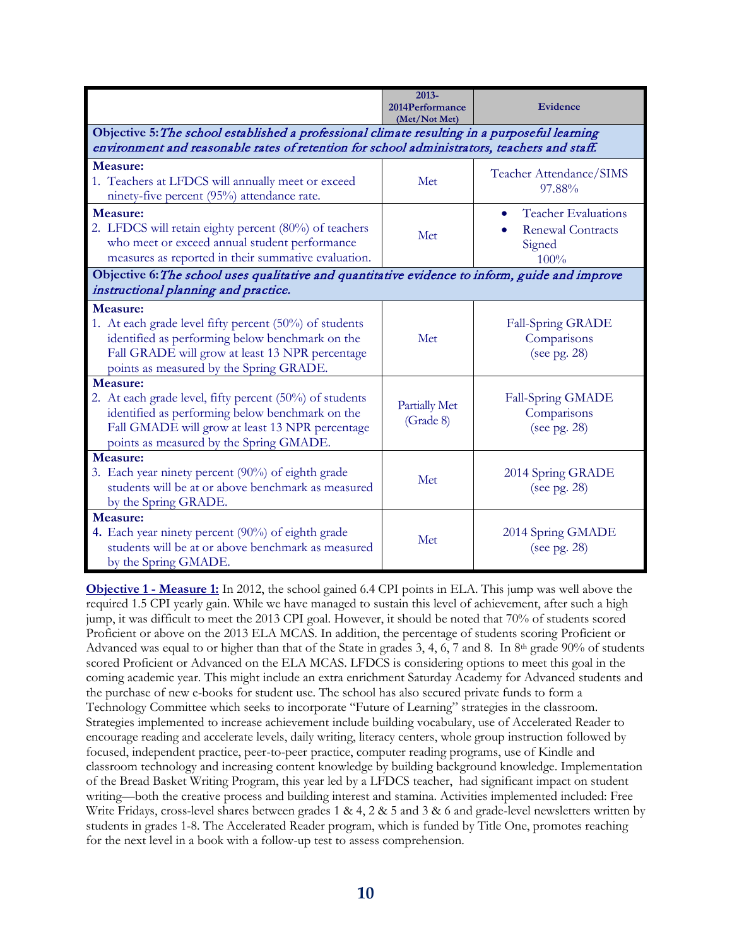|                                                                                                                                                                                                                      | 2013-<br>2014Performance<br>(Met/Not Met) | Evidence                                                                              |
|----------------------------------------------------------------------------------------------------------------------------------------------------------------------------------------------------------------------|-------------------------------------------|---------------------------------------------------------------------------------------|
| Objective 5: The school established a professional climate resulting in a purposeful learning<br>environment and reasonable rates of retention for school administrators, teachers and staff.                        |                                           |                                                                                       |
| Measure:<br>1. Teachers at LFDCS will annually meet or exceed<br>ninety-five percent (95%) attendance rate.                                                                                                          | Met                                       | Teacher Attendance/SIMS<br>97.88%                                                     |
| Measure:<br>2. LFDCS will retain eighty percent (80%) of teachers<br>who meet or exceed annual student performance<br>measures as reported in their summative evaluation.                                            | Met                                       | <b>Teacher Evaluations</b><br>$\bullet$<br><b>Renewal Contracts</b><br>Signed<br>100% |
| Objective 6: The school uses qualitative and quantitative evidence to inform, guide and improve<br>instructional planning and practice.                                                                              |                                           |                                                                                       |
| Measure:<br>1. At each grade level fifty percent (50%) of students<br>identified as performing below benchmark on the<br>Fall GRADE will grow at least 13 NPR percentage<br>points as measured by the Spring GRADE.  | Met                                       | Fall-Spring GRADE<br>Comparisons<br>(see pg. $28$ )                                   |
| Measure:<br>2. At each grade level, fifty percent (50%) of students<br>identified as performing below benchmark on the<br>Fall GMADE will grow at least 13 NPR percentage<br>points as measured by the Spring GMADE. | <b>Partially Met</b><br>(Grade 8)         | Fall-Spring GMADE<br>Comparisons<br>(see pg. $28$ )                                   |
| Measure:<br>3. Each year ninety percent (90%) of eighth grade<br>students will be at or above benchmark as measured<br>by the Spring GRADE.                                                                          | Met                                       | 2014 Spring GRADE<br>(see pg. $28$ )                                                  |
| Measure:<br>4. Each year ninety percent (90%) of eighth grade<br>students will be at or above benchmark as measured<br>by the Spring GMADE.                                                                          | Met                                       | 2014 Spring GMADE<br>(see pg. $28$ )                                                  |

**Objective 1 - Measure 1:** In 2012, the school gained 6.4 CPI points in ELA. This jump was well above the required 1.5 CPI yearly gain. While we have managed to sustain this level of achievement, after such a high jump, it was difficult to meet the 2013 CPI goal. However, it should be noted that 70% of students scored Proficient or above on the 2013 ELA MCAS. In addition, the percentage of students scoring Proficient or Advanced was equal to or higher than that of the State in grades 3, 4, 6, 7 and 8. In 8<sup>th</sup> grade 90% of students scored Proficient or Advanced on the ELA MCAS. LFDCS is considering options to meet this goal in the coming academic year. This might include an extra enrichment Saturday Academy for Advanced students and the purchase of new e-books for student use. The school has also secured private funds to form a Technology Committee which seeks to incorporate "Future of Learning" strategies in the classroom. Strategies implemented to increase achievement include building vocabulary, use of Accelerated Reader to encourage reading and accelerate levels, daily writing, literacy centers, whole group instruction followed by focused, independent practice, peer-to-peer practice, computer reading programs, use of Kindle and classroom technology and increasing content knowledge by building background knowledge. Implementation of the Bread Basket Writing Program, this year led by a LFDCS teacher, had significant impact on student writing—both the creative process and building interest and stamina. Activities implemented included: Free Write Fridays, cross-level shares between grades 1 & 4, 2 & 5 and 3 & 6 and grade-level newsletters written by students in grades 1-8. The Accelerated Reader program, which is funded by Title One, promotes reaching for the next level in a book with a follow-up test to assess comprehension.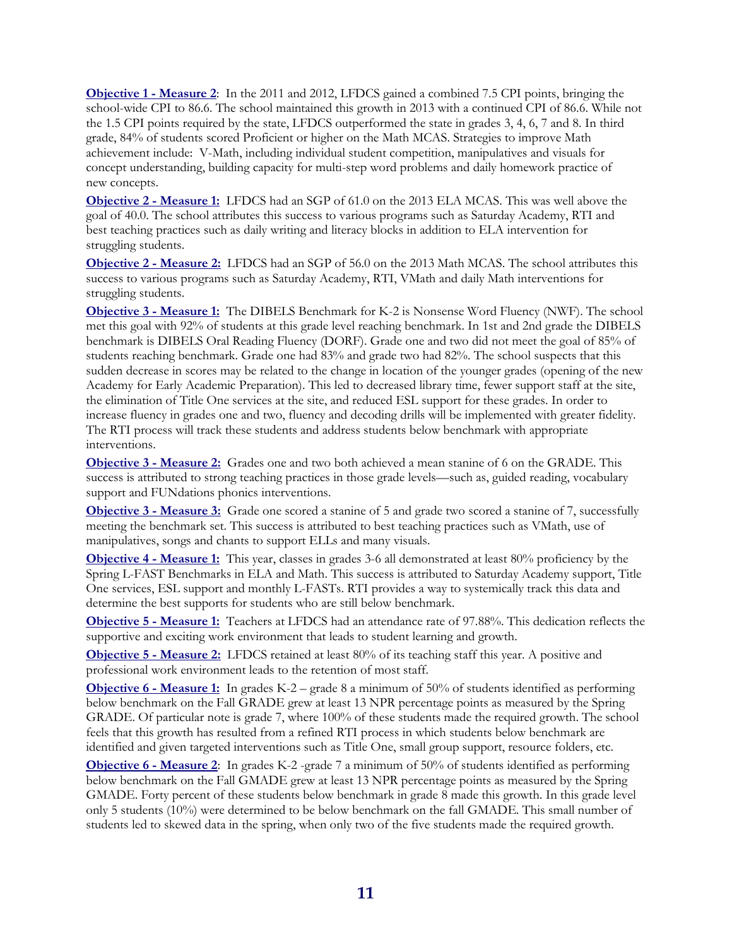**Objective 1 - Measure 2**: In the 2011 and 2012, LFDCS gained a combined 7.5 CPI points, bringing the school-wide CPI to 86.6. The school maintained this growth in 2013 with a continued CPI of 86.6. While not the 1.5 CPI points required by the state, LFDCS outperformed the state in grades 3, 4, 6, 7 and 8. In third grade, 84% of students scored Proficient or higher on the Math MCAS. Strategies to improve Math achievement include: V-Math, including individual student competition, manipulatives and visuals for concept understanding, building capacity for multi-step word problems and daily homework practice of new concepts.

**Objective 2 - Measure 1:** LFDCS had an SGP of 61.0 on the 2013 ELA MCAS. This was well above the goal of 40.0. The school attributes this success to various programs such as Saturday Academy, RTI and best teaching practices such as daily writing and literacy blocks in addition to ELA intervention for struggling students.

**Objective 2 - Measure 2:** LFDCS had an SGP of 56.0 on the 2013 Math MCAS. The school attributes this success to various programs such as Saturday Academy, RTI, VMath and daily Math interventions for struggling students.

**Objective 3 - Measure 1:** The DIBELS Benchmark for K-2 is Nonsense Word Fluency (NWF). The school met this goal with 92% of students at this grade level reaching benchmark. In 1st and 2nd grade the DIBELS benchmark is DIBELS Oral Reading Fluency (DORF). Grade one and two did not meet the goal of 85% of students reaching benchmark. Grade one had 83% and grade two had 82%. The school suspects that this sudden decrease in scores may be related to the change in location of the younger grades (opening of the new Academy for Early Academic Preparation). This led to decreased library time, fewer support staff at the site, the elimination of Title One services at the site, and reduced ESL support for these grades. In order to increase fluency in grades one and two, fluency and decoding drills will be implemented with greater fidelity. The RTI process will track these students and address students below benchmark with appropriate interventions.

**Objective 3 - Measure 2:** Grades one and two both achieved a mean stanine of 6 on the GRADE. This success is attributed to strong teaching practices in those grade levels—such as, guided reading, vocabulary support and FUNdations phonics interventions.

**Objective 3 - Measure 3:** Grade one scored a stanine of 5 and grade two scored a stanine of 7, successfully meeting the benchmark set. This success is attributed to best teaching practices such as VMath, use of manipulatives, songs and chants to support ELLs and many visuals.

**Objective 4 - Measure 1:** This year, classes in grades 3-6 all demonstrated at least 80% proficiency by the Spring L-FAST Benchmarks in ELA and Math. This success is attributed to Saturday Academy support, Title One services, ESL support and monthly L-FASTs. RTI provides a way to systemically track this data and determine the best supports for students who are still below benchmark.

**Objective 5 - Measure 1:** Teachers at LFDCS had an attendance rate of 97.88%. This dedication reflects the supportive and exciting work environment that leads to student learning and growth.

**Objective 5 - Measure 2:** LFDCS retained at least 80% of its teaching staff this year. A positive and professional work environment leads to the retention of most staff.

**Objective 6 - Measure 1:** In grades K-2 – grade 8 a minimum of 50% of students identified as performing below benchmark on the Fall GRADE grew at least 13 NPR percentage points as measured by the Spring GRADE. Of particular note is grade 7, where 100% of these students made the required growth. The school feels that this growth has resulted from a refined RTI process in which students below benchmark are identified and given targeted interventions such as Title One, small group support, resource folders, etc.

**Objective 6 - Measure 2**: In grades K-2 -grade 7 a minimum of 50% of students identified as performing below benchmark on the Fall GMADE grew at least 13 NPR percentage points as measured by the Spring GMADE. Forty percent of these students below benchmark in grade 8 made this growth. In this grade level only 5 students (10%) were determined to be below benchmark on the fall GMADE. This small number of students led to skewed data in the spring, when only two of the five students made the required growth.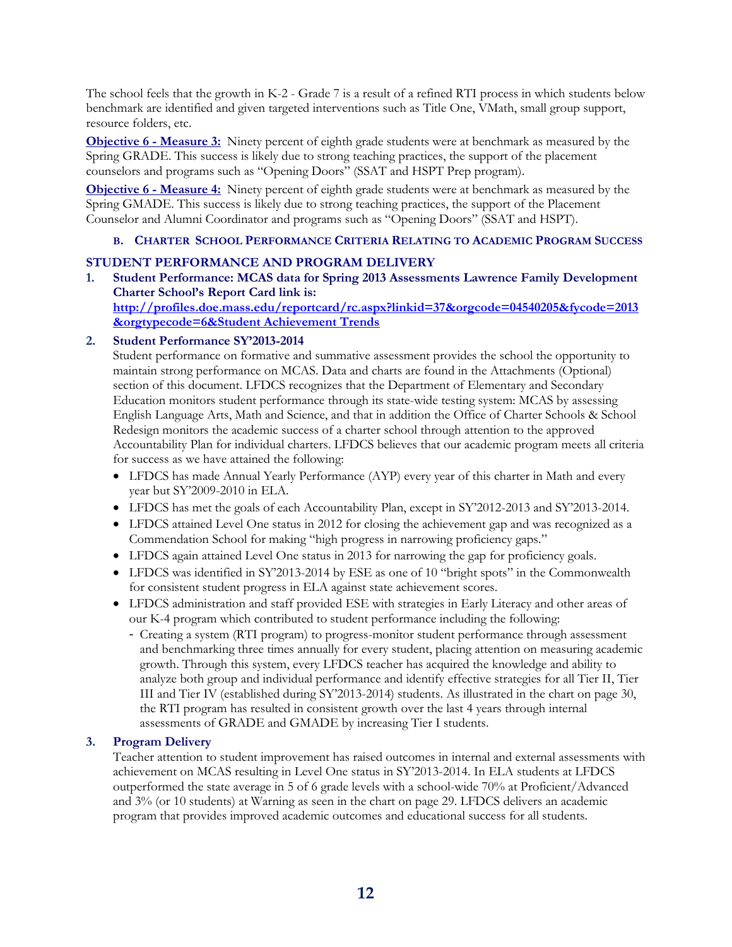The school feels that the growth in K-2 - Grade 7 is a result of a refined RTI process in which students below benchmark are identified and given targeted interventions such as Title One, VMath, small group support, resource folders, etc.

**Objective 6 - Measure 3:** Ninety percent of eighth grade students were at benchmark as measured by the Spring GRADE. This success is likely due to strong teaching practices, the support of the placement counselors and programs such as "Opening Doors" (SSAT and HSPT Prep program).

**Objective 6 - Measure 4:** Ninety percent of eighth grade students were at benchmark as measured by the Spring GMADE. This success is likely due to strong teaching practices, the support of the Placement Counselor and Alumni Coordinator and programs such as "Opening Doors" (SSAT and HSPT).

#### **B. CHARTER SCHOOL PERFORMANCE CRITERIA RELATING TO ACADEMIC PROGRAM SUCCESS**

#### **STUDENT PERFORMANCE AND PROGRAM DELIVERY**

**1. Student Performance: MCAS data for Spring 2013 Assessments Lawrence Family Development Charter School's Report Card link is: [http://profiles.doe.mass.edu/reportcard/rc.aspx?linkid=37&orgcode=04540205&fycode=2013](http://profiles.doe.mass.edu/reportcard/rc.aspx?linkid=37&orgcode=04540205&fycode=2013&orgtypecode=6&Student%20Achievement%20Trends) [&orgtypecode=6&Student Achievement Trends](http://profiles.doe.mass.edu/reportcard/rc.aspx?linkid=37&orgcode=04540205&fycode=2013&orgtypecode=6&Student%20Achievement%20Trends)**

#### **2. Student Performance SY'2013-2014**

Student performance on formative and summative assessment provides the school the opportunity to maintain strong performance on MCAS. Data and charts are found in the Attachments (Optional) section of this document. LFDCS recognizes that the Department of Elementary and Secondary Education monitors student performance through its state-wide testing system: MCAS by assessing English Language Arts, Math and Science, and that in addition the Office of Charter Schools & School Redesign monitors the academic success of a charter school through attention to the approved Accountability Plan for individual charters. LFDCS believes that our academic program meets all criteria for success as we have attained the following:

- LFDCS has made Annual Yearly Performance (AYP) every year of this charter in Math and every year but SY'2009-2010 in ELA.
- LFDCS has met the goals of each Accountability Plan, except in SY'2012-2013 and SY'2013-2014.
- LFDCS attained Level One status in 2012 for closing the achievement gap and was recognized as a Commendation School for making "high progress in narrowing proficiency gaps."
- LFDCS again attained Level One status in 2013 for narrowing the gap for proficiency goals.
- LFDCS was identified in SY'2013-2014 by ESE as one of 10 "bright spots" in the Commonwealth for consistent student progress in ELA against state achievement scores.
- LFDCS administration and staff provided ESE with strategies in Early Literacy and other areas of our K-4 program which contributed to student performance including the following:
	- Creating a system (RTI program) to progress-monitor student performance through assessment and benchmarking three times annually for every student, placing attention on measuring academic growth. Through this system, every LFDCS teacher has acquired the knowledge and ability to analyze both group and individual performance and identify effective strategies for all Tier II, Tier III and Tier IV (established during SY'2013-2014) students. As illustrated in the chart on page 30, the RTI program has resulted in consistent growth over the last 4 years through internal assessments of GRADE and GMADE by increasing Tier I students.

#### **3. Program Delivery**

Teacher attention to student improvement has raised outcomes in internal and external assessments with achievement on MCAS resulting in Level One status in SY'2013-2014. In ELA students at LFDCS outperformed the state average in 5 of 6 grade levels with a school-wide 70% at Proficient/Advanced and 3% (or 10 students) at Warning as seen in the chart on page 29. LFDCS delivers an academic program that provides improved academic outcomes and educational success for all students.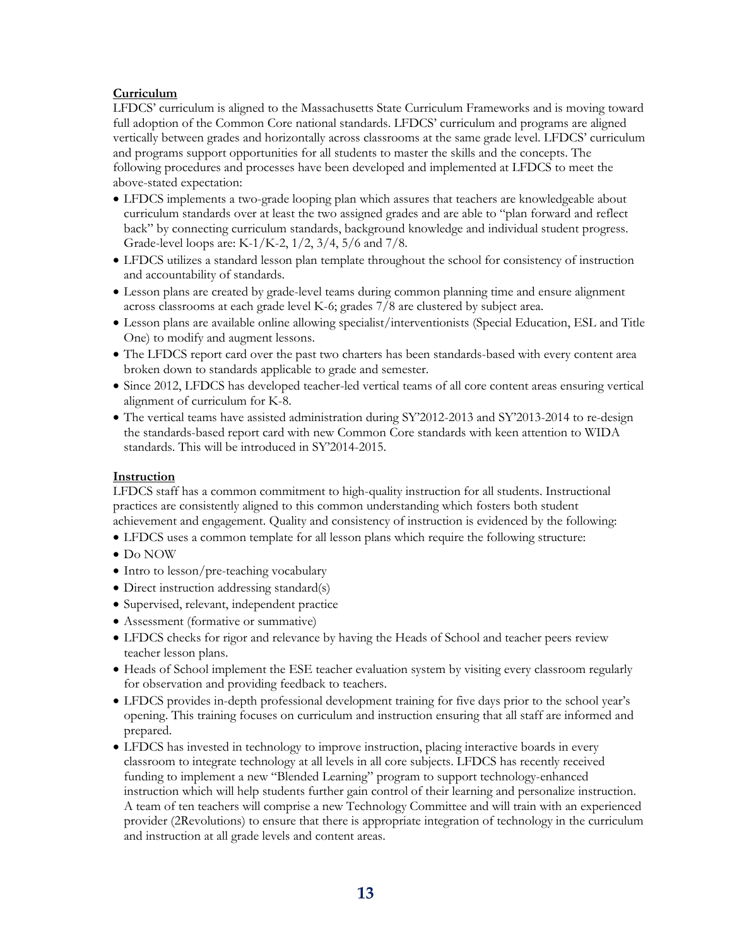#### **Curriculum**

LFDCS' curriculum is aligned to the Massachusetts State Curriculum Frameworks and is moving toward full adoption of the Common Core national standards. LFDCS' curriculum and programs are aligned vertically between grades and horizontally across classrooms at the same grade level. LFDCS' curriculum and programs support opportunities for all students to master the skills and the concepts. The following procedures and processes have been developed and implemented at LFDCS to meet the above-stated expectation:

- LFDCS implements a two-grade looping plan which assures that teachers are knowledgeable about curriculum standards over at least the two assigned grades and are able to "plan forward and reflect back" by connecting curriculum standards, background knowledge and individual student progress. Grade-level loops are: K-1/K-2, 1/2, 3/4, 5/6 and 7/8.
- LFDCS utilizes a standard lesson plan template throughout the school for consistency of instruction and accountability of standards.
- Lesson plans are created by grade-level teams during common planning time and ensure alignment across classrooms at each grade level K-6; grades 7/8 are clustered by subject area.
- Lesson plans are available online allowing specialist/interventionists (Special Education, ESL and Title One) to modify and augment lessons.
- The LFDCS report card over the past two charters has been standards-based with every content area broken down to standards applicable to grade and semester.
- Since 2012, LFDCS has developed teacher-led vertical teams of all core content areas ensuring vertical alignment of curriculum for K-8.
- The vertical teams have assisted administration during SY'2012-2013 and SY'2013-2014 to re-design the standards-based report card with new Common Core standards with keen attention to WIDA standards. This will be introduced in SY'2014-2015.

#### **Instruction**

LFDCS staff has a common commitment to high-quality instruction for all students. Instructional practices are consistently aligned to this common understanding which fosters both student achievement and engagement. Quality and consistency of instruction is evidenced by the following:

- LFDCS uses a common template for all lesson plans which require the following structure:
- Do NOW
- Intro to lesson/pre-teaching vocabulary
- Direct instruction addressing standard(s)
- Supervised, relevant, independent practice
- Assessment (formative or summative)
- LFDCS checks for rigor and relevance by having the Heads of School and teacher peers review teacher lesson plans.
- Heads of School implement the ESE teacher evaluation system by visiting every classroom regularly for observation and providing feedback to teachers.
- LFDCS provides in-depth professional development training for five days prior to the school year's opening. This training focuses on curriculum and instruction ensuring that all staff are informed and prepared.
- LFDCS has invested in technology to improve instruction, placing interactive boards in every classroom to integrate technology at all levels in all core subjects. LFDCS has recently received funding to implement a new "Blended Learning" program to support technology-enhanced instruction which will help students further gain control of their learning and personalize instruction. A team of ten teachers will comprise a new Technology Committee and will train with an experienced provider (2Revolutions) to ensure that there is appropriate integration of technology in the curriculum and instruction at all grade levels and content areas.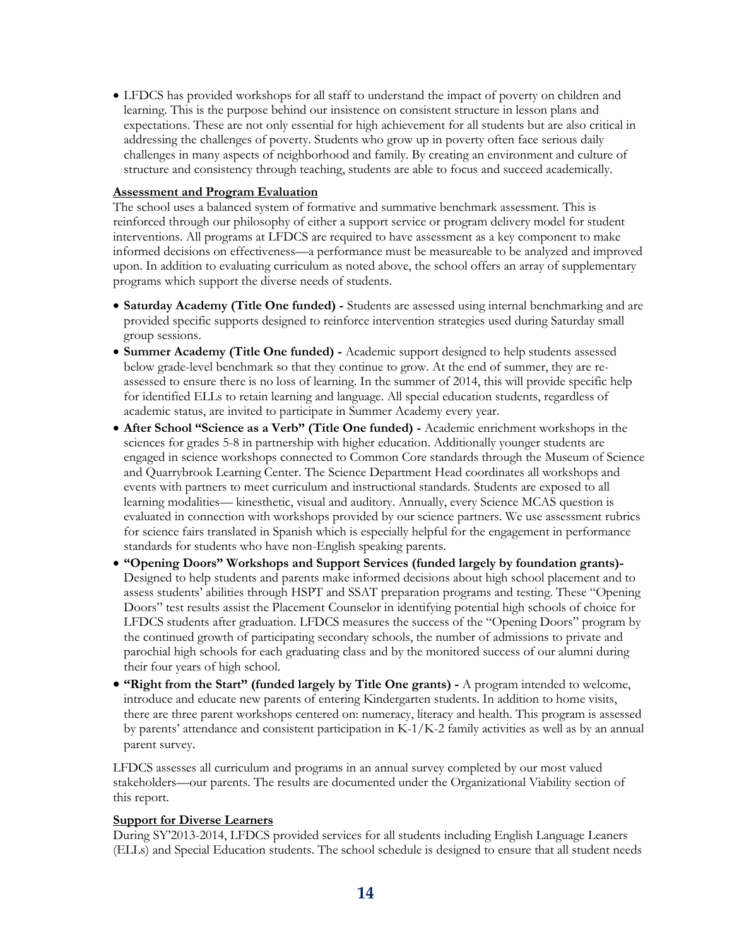• LFDCS has provided workshops for all staff to understand the impact of poverty on children and learning. This is the purpose behind our insistence on consistent structure in lesson plans and expectations. These are not only essential for high achievement for all students but are also critical in addressing the challenges of poverty. Students who grow up in poverty often face serious daily challenges in many aspects of neighborhood and family. By creating an environment and culture of structure and consistency through teaching, students are able to focus and succeed academically.

#### **Assessment and Program Evaluation**

The school uses a balanced system of formative and summative benchmark assessment. This is reinforced through our philosophy of either a support service or program delivery model for student interventions. All programs at LFDCS are required to have assessment as a key component to make informed decisions on effectiveness—a performance must be measureable to be analyzed and improved upon. In addition to evaluating curriculum as noted above, the school offers an array of supplementary programs which support the diverse needs of students.

- **Saturday Academy (Title One funded) -** Students are assessed using internal benchmarking and are provided specific supports designed to reinforce intervention strategies used during Saturday small group sessions.
- **Summer Academy (Title One funded) -** Academic support designed to help students assessed below grade-level benchmark so that they continue to grow. At the end of summer, they are reassessed to ensure there is no loss of learning. In the summer of 2014, this will provide specific help for identified ELLs to retain learning and language. All special education students, regardless of academic status, are invited to participate in Summer Academy every year.
- **After School "Science as a Verb" (Title One funded) -** Academic enrichment workshops in the sciences for grades 5-8 in partnership with higher education. Additionally younger students are engaged in science workshops connected to Common Core standards through the Museum of Science and Quarrybrook Learning Center. The Science Department Head coordinates all workshops and events with partners to meet curriculum and instructional standards. Students are exposed to all learning modalities— kinesthetic, visual and auditory. Annually, every Science MCAS question is evaluated in connection with workshops provided by our science partners. We use assessment rubrics for science fairs translated in Spanish which is especially helpful for the engagement in performance standards for students who have non-English speaking parents.
- **"Opening Doors" Workshops and Support Services (funded largely by foundation grants)-** Designed to help students and parents make informed decisions about high school placement and to assess students' abilities through HSPT and SSAT preparation programs and testing. These "Opening Doors" test results assist the Placement Counselor in identifying potential high schools of choice for LFDCS students after graduation. LFDCS measures the success of the "Opening Doors" program by the continued growth of participating secondary schools, the number of admissions to private and parochial high schools for each graduating class and by the monitored success of our alumni during their four years of high school.
- **"Right from the Start" (funded largely by Title One grants) -** A program intended to welcome, introduce and educate new parents of entering Kindergarten students. In addition to home visits, there are three parent workshops centered on: numeracy, literacy and health. This program is assessed by parents' attendance and consistent participation in K-1/K-2 family activities as well as by an annual parent survey.

LFDCS assesses all curriculum and programs in an annual survey completed by our most valued stakeholders—our parents. The results are documented under the Organizational Viability section of this report.

#### **Support for Diverse Learners**

During SY'2013-2014, LFDCS provided services for all students including English Language Leaners (ELLs) and Special Education students. The school schedule is designed to ensure that all student needs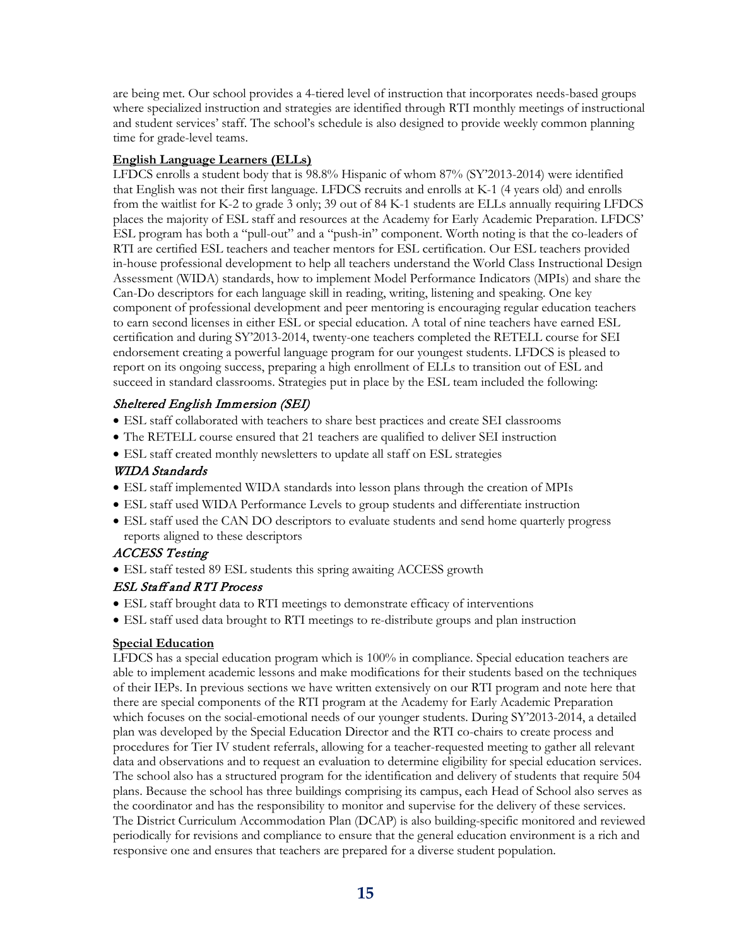are being met. Our school provides a 4-tiered level of instruction that incorporates needs-based groups where specialized instruction and strategies are identified through RTI monthly meetings of instructional and student services' staff. The school's schedule is also designed to provide weekly common planning time for grade-level teams.

#### **English Language Learners (ELLs)**

LFDCS enrolls a student body that is 98.8% Hispanic of whom 87% (SY'2013-2014) were identified that English was not their first language. LFDCS recruits and enrolls at K-1 (4 years old) and enrolls from the waitlist for K-2 to grade 3 only; 39 out of 84 K-1 students are ELLs annually requiring LFDCS places the majority of ESL staff and resources at the Academy for Early Academic Preparation. LFDCS' ESL program has both a "pull-out" and a "push-in" component. Worth noting is that the co-leaders of RTI are certified ESL teachers and teacher mentors for ESL certification. Our ESL teachers provided in-house professional development to help all teachers understand the World Class Instructional Design Assessment (WIDA) standards, how to implement Model Performance Indicators (MPIs) and share the Can-Do descriptors for each language skill in reading, writing, listening and speaking. One key component of professional development and peer mentoring is encouraging regular education teachers to earn second licenses in either ESL or special education. A total of nine teachers have earned ESL certification and during SY'2013-2014, twenty-one teachers completed the RETELL course for SEI endorsement creating a powerful language program for our youngest students. LFDCS is pleased to report on its ongoing success, preparing a high enrollment of ELLs to transition out of ESL and succeed in standard classrooms. Strategies put in place by the ESL team included the following:

#### Sheltered English Immersion (SEI)

- ESL staff collaborated with teachers to share best practices and create SEI classrooms
- The RETELL course ensured that 21 teachers are qualified to deliver SEI instruction
- ESL staff created monthly newsletters to update all staff on ESL strategies

#### WIDA Standards

- ESL staff implemented WIDA standards into lesson plans through the creation of MPIs
- ESL staff used WIDA Performance Levels to group students and differentiate instruction
- ESL staff used the CAN DO descriptors to evaluate students and send home quarterly progress reports aligned to these descriptors

#### ACCESS Testing

• ESL staff tested 89 ESL students this spring awaiting ACCESS growth

#### ESL Staff and RTI Process

- ESL staff brought data to RTI meetings to demonstrate efficacy of interventions
- ESL staff used data brought to RTI meetings to re-distribute groups and plan instruction

#### **Special Education**

LFDCS has a special education program which is 100% in compliance. Special education teachers are able to implement academic lessons and make modifications for their students based on the techniques of their IEPs. In previous sections we have written extensively on our RTI program and note here that there are special components of the RTI program at the Academy for Early Academic Preparation which focuses on the social-emotional needs of our younger students. During SY'2013-2014, a detailed plan was developed by the Special Education Director and the RTI co-chairs to create process and procedures for Tier IV student referrals, allowing for a teacher-requested meeting to gather all relevant data and observations and to request an evaluation to determine eligibility for special education services. The school also has a structured program for the identification and delivery of students that require 504 plans. Because the school has three buildings comprising its campus, each Head of School also serves as the coordinator and has the responsibility to monitor and supervise for the delivery of these services. The District Curriculum Accommodation Plan (DCAP) is also building-specific monitored and reviewed periodically for revisions and compliance to ensure that the general education environment is a rich and responsive one and ensures that teachers are prepared for a diverse student population.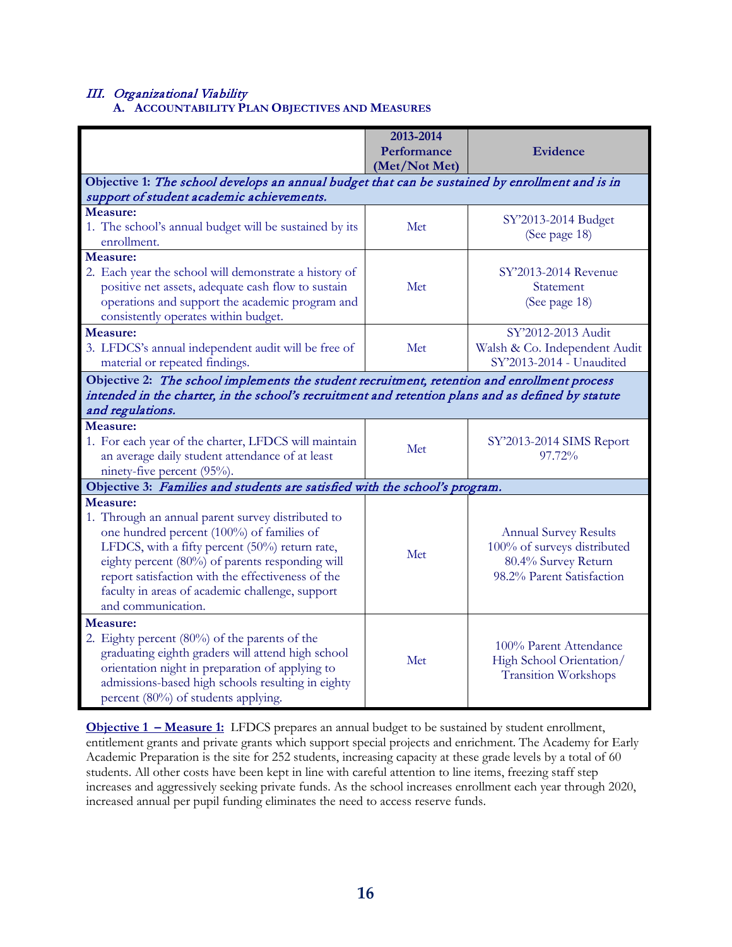## III. Organizational Viability**A. ACCOUNTABILITY PLAN OBJECTIVES AND MEASURES**

|                                                                                                                                                                                                                                                                                                                                               | 2013-2014<br>Performance<br>(Met/Not Met) | <b>Evidence</b>                                                                                                 |
|-----------------------------------------------------------------------------------------------------------------------------------------------------------------------------------------------------------------------------------------------------------------------------------------------------------------------------------------------|-------------------------------------------|-----------------------------------------------------------------------------------------------------------------|
| Objective 1: The school develops an annual budget that can be sustained by enrollment and is in<br>support of student academic achievements.                                                                                                                                                                                                  |                                           |                                                                                                                 |
| Measure:<br>1. The school's annual budget will be sustained by its<br>enrollment.                                                                                                                                                                                                                                                             | Met                                       | SY'2013-2014 Budget<br>(See page 18)                                                                            |
| Measure:<br>2. Each year the school will demonstrate a history of<br>positive net assets, adequate cash flow to sustain<br>operations and support the academic program and<br>consistently operates within budget.                                                                                                                            | Met                                       | SY'2013-2014 Revenue<br>Statement<br>(See page 18)                                                              |
| Measure:<br>3. LFDCS's annual independent audit will be free of<br>material or repeated findings.                                                                                                                                                                                                                                             | Met                                       | SY'2012-2013 Audit<br>Walsh & Co. Independent Audit<br>SY'2013-2014 - Unaudited                                 |
| Objective 2: The school implements the student recruitment, retention and enrollment process<br>intended in the charter, in the school's recruitment and retention plans and as defined by statute<br>and regulations.                                                                                                                        |                                           |                                                                                                                 |
| Measure:<br>1. For each year of the charter, LFDCS will maintain<br>an average daily student attendance of at least<br>ninety-five percent (95%).                                                                                                                                                                                             | Met                                       | SY'2013-2014 SIMS Report<br>97.72%                                                                              |
| Objective 3: Families and students are satisfied with the school's program.                                                                                                                                                                                                                                                                   |                                           |                                                                                                                 |
| Measure:<br>1. Through an annual parent survey distributed to<br>one hundred percent (100%) of families of<br>LFDCS, with a fifty percent (50%) return rate,<br>eighty percent (80%) of parents responding will<br>report satisfaction with the effectiveness of the<br>faculty in areas of academic challenge, support<br>and communication. | Met                                       | <b>Annual Survey Results</b><br>100% of surveys distributed<br>80.4% Survey Return<br>98.2% Parent Satisfaction |
| Measure:<br>2. Eighty percent (80%) of the parents of the<br>graduating eighth graders will attend high school<br>orientation night in preparation of applying to<br>admissions-based high schools resulting in eighty<br>percent (80%) of students applying.                                                                                 | Met                                       | 100% Parent Attendance<br>High School Orientation/<br><b>Transition Workshops</b>                               |

**Objective 1 – Measure 1:** LFDCS prepares an annual budget to be sustained by student enrollment, entitlement grants and private grants which support special projects and enrichment. The Academy for Early Academic Preparation is the site for 252 students, increasing capacity at these grade levels by a total of 60 students. All other costs have been kept in line with careful attention to line items, freezing staff step increases and aggressively seeking private funds. As the school increases enrollment each year through 2020, increased annual per pupil funding eliminates the need to access reserve funds.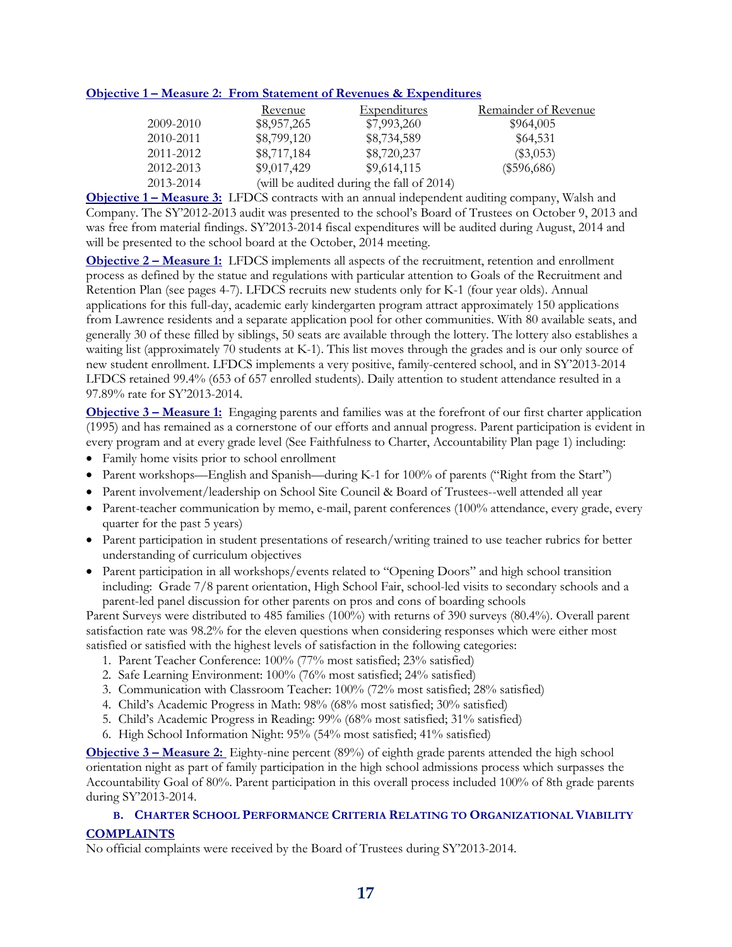#### **Objective 1 – Measure 2: From Statement of Revenues & Expenditures**

|           | Revenue     | Expenditures                              | Remainder of Revenue |
|-----------|-------------|-------------------------------------------|----------------------|
| 2009-2010 | \$8,957,265 | \$7,993,260                               | \$964,005            |
| 2010-2011 | \$8,799,120 | \$8,734,589                               | \$64,531             |
| 2011-2012 | \$8,717,184 | \$8,720,237                               | $(\$3,053)$          |
| 2012-2013 | \$9,017,429 | \$9,614,115                               | $(\$596,686)$        |
| 2013-2014 |             | (will be audited during the fall of 2014) |                      |

**Objective 1 – Measure 3:** LFDCS contracts with an annual independent auditing company, Walsh and Company. The SY'2012-2013 audit was presented to the school's Board of Trustees on October 9, 2013 and was free from material findings. SY'2013-2014 fiscal expenditures will be audited during August, 2014 and will be presented to the school board at the October, 2014 meeting.

**Objective 2 – Measure 1:** LFDCS implements all aspects of the recruitment, retention and enrollment process as defined by the statue and regulations with particular attention to Goals of the Recruitment and Retention Plan (see pages 4-7). LFDCS recruits new students only for K-1 (four year olds). Annual applications for this full-day, academic early kindergarten program attract approximately 150 applications from Lawrence residents and a separate application pool for other communities. With 80 available seats, and generally 30 of these filled by siblings, 50 seats are available through the lottery. The lottery also establishes a waiting list (approximately 70 students at K-1). This list moves through the grades and is our only source of new student enrollment. LFDCS implements a very positive, family-centered school, and in SY'2013-2014 LFDCS retained 99.4% (653 of 657 enrolled students). Daily attention to student attendance resulted in a 97.89% rate for SY'2013-2014.

**Objective 3 – Measure 1:** Engaging parents and families was at the forefront of our first charter application (1995) and has remained as a cornerstone of our efforts and annual progress. Parent participation is evident in every program and at every grade level (See Faithfulness to Charter, Accountability Plan page 1) including:

- Family home visits prior to school enrollment
- Parent workshops—English and Spanish—during K-1 for 100% of parents ("Right from the Start")
- Parent involvement/leadership on School Site Council & Board of Trustees--well attended all year
- Parent-teacher communication by memo, e-mail, parent conferences (100% attendance, every grade, every quarter for the past 5 years)
- Parent participation in student presentations of research/writing trained to use teacher rubrics for better understanding of curriculum objectives
- Parent participation in all workshops/events related to "Opening Doors" and high school transition including: Grade 7/8 parent orientation, High School Fair, school-led visits to secondary schools and a parent-led panel discussion for other parents on pros and cons of boarding schools

Parent Surveys were distributed to 485 families (100%) with returns of 390 surveys (80.4%). Overall parent satisfaction rate was 98.2% for the eleven questions when considering responses which were either most satisfied or satisfied with the highest levels of satisfaction in the following categories:

- 1. Parent Teacher Conference: 100% (77% most satisfied; 23% satisfied)
- 2. Safe Learning Environment: 100% (76% most satisfied; 24% satisfied)
- 3. Communication with Classroom Teacher: 100% (72% most satisfied; 28% satisfied)
- 4. Child's Academic Progress in Math: 98% (68% most satisfied; 30% satisfied)
- 5. Child's Academic Progress in Reading: 99% (68% most satisfied; 31% satisfied)
- 6. High School Information Night: 95% (54% most satisfied; 41% satisfied)

**Objective 3 – Measure 2:** Eighty-nine percent (89%) of eighth grade parents attended the high school orientation night as part of family participation in the high school admissions process which surpasses the Accountability Goal of 80%. Parent participation in this overall process included 100% of 8th grade parents during SY'2013-2014.

#### **B. CHARTER SCHOOL PERFORMANCE CRITERIA RELATING TO ORGANIZATIONAL VIABILITY COMPLAINTS**

No official complaints were received by the Board of Trustees during SY'2013-2014.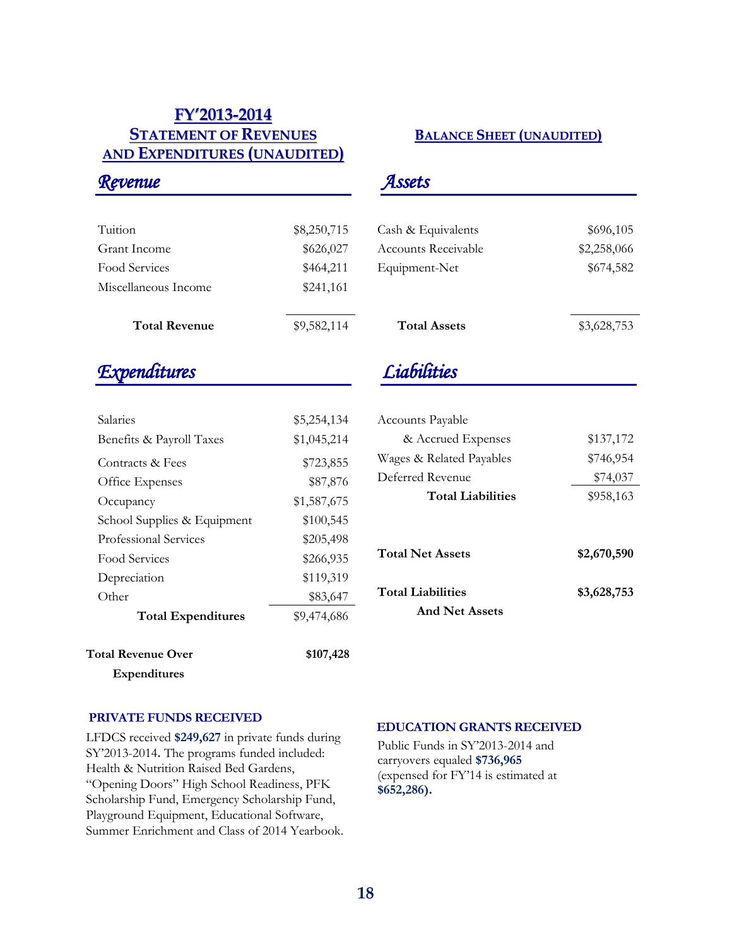### **FY'2013-2014 STATEMENT OF REVENUES AND EXPENDITURES (UNAUDITED)**

### **BALANCE SHEET (UNAUDITED)**

| Tuition              | \$8,250,715 |
|----------------------|-------------|
| Grant Income         | \$626,027   |
| Food Services        | \$464,211   |
| Miscellaneous Income | \$241,161   |
|                      |             |
| <b>Total Revenue</b> | \$9,582,114 |

## *Expenditures*

*Revenue* 

| <b>Total Revenue Over</b>   | \$107,428   |
|-----------------------------|-------------|
| <b>Total Expenditures</b>   | \$9,474,686 |
| Other                       | \$83,647    |
| Depreciation                | \$119,319   |
| Food Services               | \$266,935   |
| Professional Services       | \$205,498   |
| School Supplies & Equipment | \$100,545   |
| Occupancy                   | \$1,587,675 |
| Office Expenses             | \$87,876    |
| Contracts & Fees            | \$723,855   |
| Benefits & Payroll Taxes    | \$1,045,214 |
| Salaries                    | \$5,254,134 |

 **Expenditures**

### *Assets*

| Cash & Equivalents  | \$696,105   |
|---------------------|-------------|
| Accounts Receivable | \$2,258,066 |
| Equipment-Net       | \$674,582   |
|                     |             |
|                     |             |
| <b>Total Assets</b> | \$3,628,753 |
|                     |             |

## *Liabilities*

| Accounts Payable         |             |
|--------------------------|-------------|
| & Accrued Expenses       | \$137,172   |
| Wages & Related Payables | \$746,954   |
| Deferred Revenue         | \$74,037    |
| <b>Total Liabilities</b> | \$958,163   |
|                          |             |
| <b>Total Net Assets</b>  | \$2,670,590 |
| <b>Total Liabilities</b> | \$3,628,753 |
| <b>And Net Assets</b>    |             |

#### **PRIVATE FUNDS RECEIVED**

LFDCS received **\$249,627** in private funds during SY'2013-2014**.** The programs funded included: Health & Nutrition Raised Bed Gardens, "Opening Doors" High School Readiness, PFK Scholarship Fund, Emergency Scholarship Fund, Playground Equipment, Educational Software, Summer Enrichment and Class of 2014 Yearbook.

#### **EDUCATION GRANTS RECEIVED**

Public Funds in SY'2013-2014 and carryovers equaled **\$736,965** (expensed for FY'14 is estimated at **\$652,286).**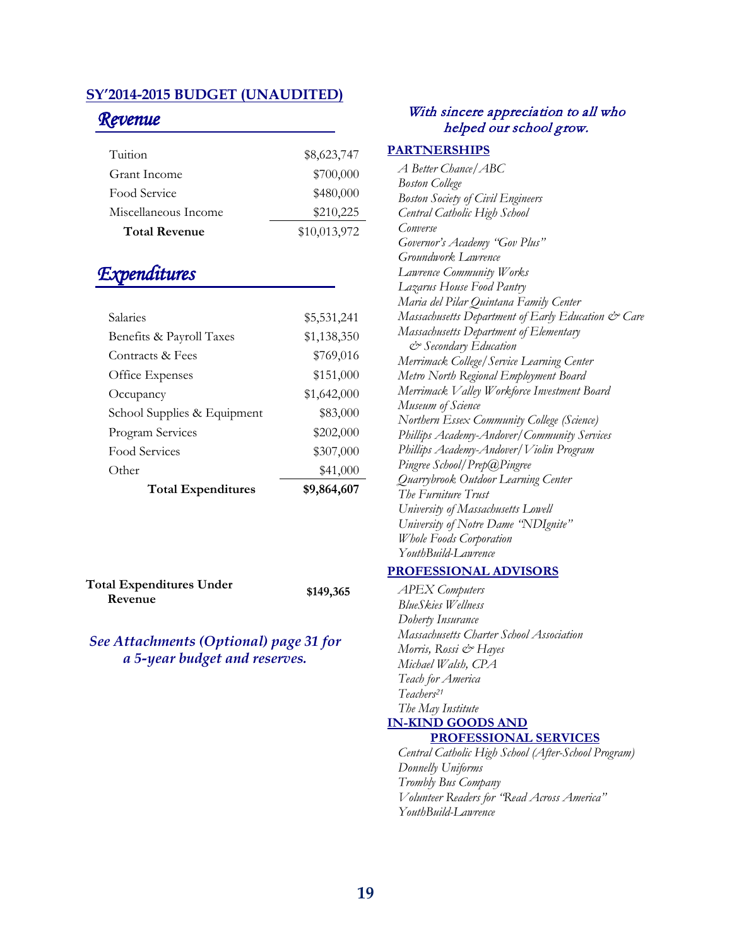### **SY'2014-2015 BUDGET (UNAUDITED)**

### *Revenue*

| Tuition              | \$8,623,747  |
|----------------------|--------------|
| Grant Income         | \$700,000    |
| Food Service         | \$480,000    |
| Miscellaneous Income | \$210,225    |
| <b>Total Revenue</b> | \$10,013,972 |

### *Expenditures*

| Salaries                    | \$5,531,241 |
|-----------------------------|-------------|
| Benefits & Payroll Taxes    | \$1,138,350 |
| Contracts & Fees            | \$769,016   |
| Office Expenses             | \$151,000   |
| Occupancy                   | \$1,642,000 |
| School Supplies & Equipment | \$83,000    |
| Program Services            | \$202,000   |
| Food Services               | \$307,000   |
| Other                       | \$41,000    |
| <b>Total Expenditures</b>   | \$9,864,607 |

**Total Expenditures Under**  al Expenditures Under **\$149,365**<br>Revenue

### *See Attachments (Optional) page 31 for a 5-year budget and reserves.*

#### With sincere appreciation to all who helped our school grow.

#### **PARTNERSHIPS**

| A Better Chance   ABC                              |
|----------------------------------------------------|
| <b>Boston College</b>                              |
| <b>Boston Society of Civil Engineers</b>           |
| Central Catholic High School                       |
| Converse                                           |
| Governor's Academy "Gov Plus"                      |
| Groundwork Lawrence                                |
| Lawrence Community Works                           |
| Lazarus House Food Pantry                          |
| Maria del Pilar Quintana Family Center             |
| Massachusetts Department of Early Education & Care |
| Massachusetts Department of Elementary             |
| & Secondary Education                              |
| Merrimack College/Service Learning Center          |
| Metro North Regional Employment Board              |
| Merrimack Valley Workforce Investment Board        |
| Museum of Science                                  |
| Northern Essex Community College (Science)         |
| Phillips Academy-Andover/Community Services        |
| Phillips Academy-Andover/Violin Program            |
| Pingree School/Prep@Pingree                        |
| Quarrybrook Outdoor Learning Center                |
| The Furniture Trust                                |
| University of Massachusetts Lowell                 |
| University of Notre Dame 'NDIgnite"                |
| Whole Foods Corporation                            |
| YouthBuild-Lawrence                                |
|                                                    |

#### **PROFESSIONAL ADVISORS**

*APEX Computers BlueSkies Wellness Doherty Insurance Massachusetts Charter School Association Morris, Rossi & Hayes Michael Walsh, CPA Teach for America Teachers21 The May Institute* **IN-KIND GOODS AND** 

### **PROFESSIONAL SERVICES**

*Central Catholic High School (After-School Program) Donnelly Uniforms Trombly Bus Company Volunteer Readers for "Read Across America" YouthBuild-Lawrence*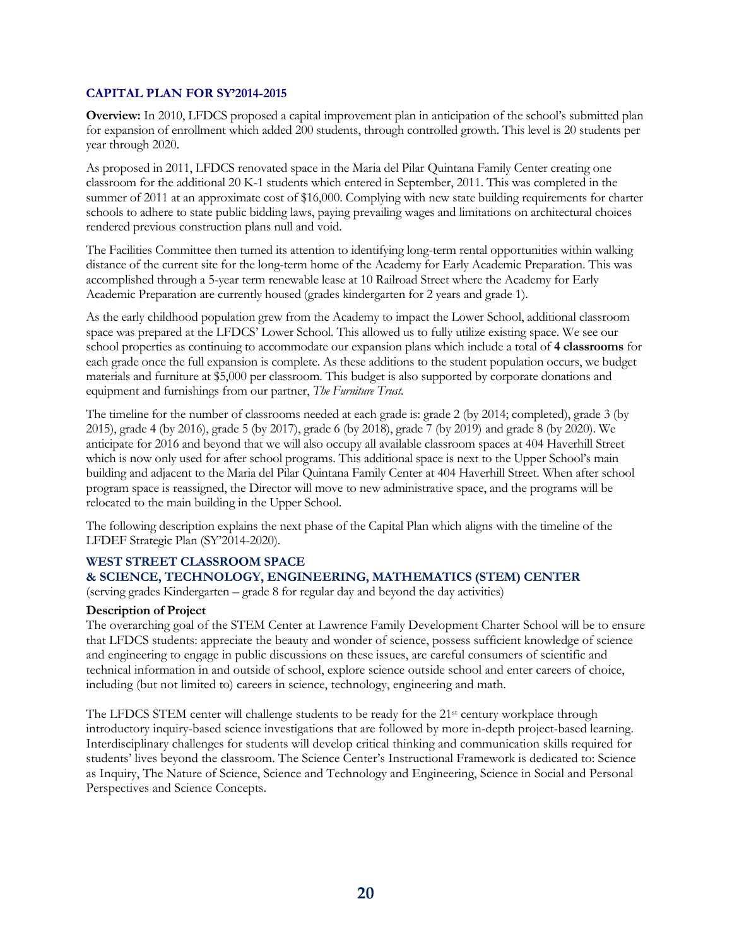#### **CAPITAL PLAN FOR SY'2014-2015**

**Overview:** In 2010, LFDCS proposed a capital improvement plan in anticipation of the school's submitted plan for expansion of enrollment which added 200 students, through controlled growth. This level is 20 students per year through 2020.

As proposed in 2011, LFDCS renovated space in the Maria del Pilar Quintana Family Center creating one classroom for the additional 20 K-1 students which entered in September, 2011. This was completed in the summer of 2011 at an approximate cost of \$16,000. Complying with new state building requirements for charter schools to adhere to state public bidding laws, paying prevailing wages and limitations on architectural choices rendered previous construction plans null and void.

The Facilities Committee then turned its attention to identifying long-term rental opportunities within walking distance of the current site for the long-term home of the Academy for Early Academic Preparation. This was accomplished through a 5-year term renewable lease at 10 Railroad Street where the Academy for Early Academic Preparation are currently housed (grades kindergarten for 2 years and grade 1).

As the early childhood population grew from the Academy to impact the Lower School, additional classroom space was prepared at the LFDCS' Lower School. This allowed us to fully utilize existing space. We see our school properties as continuing to accommodate our expansion plans which include a total of **4 classrooms** for each grade once the full expansion is complete. As these additions to the student population occurs, we budget materials and furniture at \$5,000 per classroom. This budget is also supported by corporate donations and equipment and furnishings from our partner, *The Furniture Trust.* 

The timeline for the number of classrooms needed at each grade is: grade 2 (by 2014; completed), grade 3 (by 2015), grade 4 (by 2016), grade 5 (by 2017), grade 6 (by 2018), grade 7 (by 2019) and grade 8 (by 2020). We anticipate for 2016 and beyond that we will also occupy all available classroom spaces at 404 Haverhill Street which is now only used for after school programs. This additional space is next to the Upper School's main building and adjacent to the Maria del Pilar Quintana Family Center at 404 Haverhill Street. When after school program space is reassigned, the Director will move to new administrative space, and the programs will be relocated to the main building in the Upper School.

The following description explains the next phase of the Capital Plan which aligns with the timeline of the LFDEF Strategic Plan (SY'2014-2020).

#### **WEST STREET CLASSROOM SPACE**

#### **& SCIENCE, TECHNOLOGY, ENGINEERING, MATHEMATICS (STEM) CENTER**

(serving grades Kindergarten – grade 8 for regular day and beyond the day activities)

#### **Description of Project**

The overarching goal of the STEM Center at Lawrence Family Development Charter School will be to ensure that LFDCS students: appreciate the beauty and wonder of science, possess sufficient knowledge of science and engineering to engage in public discussions on these issues, are careful consumers of scientific and technical information in and outside of school, explore science outside school and enter careers of choice, including (but not limited to) careers in science, technology, engineering and math.

The LFDCS STEM center will challenge students to be ready for the 21<sup>st</sup> century workplace through introductory inquiry-based science investigations that are followed by more in-depth project-based learning. Interdisciplinary challenges for students will develop critical thinking and communication skills required for students' lives beyond the classroom. The Science Center's Instructional Framework is dedicated to: Science as Inquiry, The Nature of Science, Science and Technology and Engineering, Science in Social and Personal Perspectives and Science Concepts.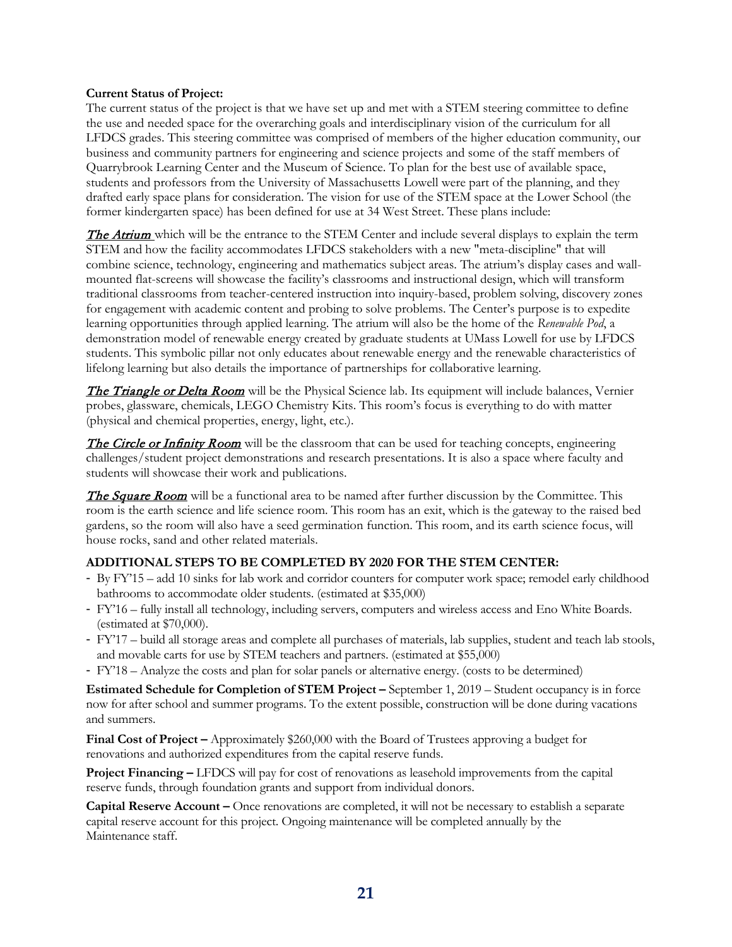#### **Current Status of Project:**

The current status of the project is that we have set up and met with a STEM steering committee to define the use and needed space for the overarching goals and interdisciplinary vision of the curriculum for all LFDCS grades. This steering committee was comprised of members of the higher education community, our business and community partners for engineering and science projects and some of the staff members of Quarrybrook Learning Center and the Museum of Science. To plan for the best use of available space, students and professors from the University of Massachusetts Lowell were part of the planning, and they drafted early space plans for consideration. The vision for use of the STEM space at the Lower School (the former kindergarten space) has been defined for use at 34 West Street. These plans include:

**The Atrium** which will be the entrance to the STEM Center and include several displays to explain the term STEM and how the facility accommodates LFDCS stakeholders with a new "meta-discipline" that will combine science, technology, engineering and mathematics subject areas. The atrium's display cases and wallmounted flat-screens will showcase the facility's classrooms and instructional design, which will transform traditional classrooms from teacher-centered instruction into inquiry-based, problem solving, discovery zones for engagement with academic content and probing to solve problems. The Center's purpose is to expedite learning opportunities through applied learning. The atrium will also be the home of the *Renewable Pod*, a demonstration model of renewable energy created by graduate students at UMass Lowell for use by LFDCS students. This symbolic pillar not only educates about renewable energy and the renewable characteristics of lifelong learning but also details the importance of partnerships for collaborative learning.

**The Triangle or Delta Room** will be the Physical Science lab. Its equipment will include balances, Vernier probes, glassware, chemicals, LEGO Chemistry Kits. This room's focus is everything to do with matter (physical and chemical properties, energy, light, etc.).

The Circle or Infinity Room will be the classroom that can be used for teaching concepts, engineering challenges/student project demonstrations and research presentations. It is also a space where faculty and students will showcase their work and publications.

The Square Room will be a functional area to be named after further discussion by the Committee. This room is the earth science and life science room. This room has an exit, which is the gateway to the raised bed gardens, so the room will also have a seed germination function. This room, and its earth science focus, will house rocks, sand and other related materials.

#### **ADDITIONAL STEPS TO BE COMPLETED BY 2020 FOR THE STEM CENTER:**

- By FY'15 add 10 sinks for lab work and corridor counters for computer work space; remodel early childhood bathrooms to accommodate older students. (estimated at \$35,000)
- FY'16 fully install all technology, including servers, computers and wireless access and Eno White Boards. (estimated at \$70,000).
- FY'17 build all storage areas and complete all purchases of materials, lab supplies, student and teach lab stools, and movable carts for use by STEM teachers and partners. (estimated at \$55,000)
- FY'18 Analyze the costs and plan for solar panels or alternative energy. (costs to be determined)

**Estimated Schedule for Completion of STEM Project –** September 1, 2019 – Student occupancy is in force now for after school and summer programs. To the extent possible, construction will be done during vacations and summers.

**Final Cost of Project –** Approximately \$260,000 with the Board of Trustees approving a budget for renovations and authorized expenditures from the capital reserve funds.

**Project Financing –** LFDCS will pay for cost of renovations as leasehold improvements from the capital reserve funds, through foundation grants and support from individual donors.

**Capital Reserve Account –** Once renovations are completed, it will not be necessary to establish a separate capital reserve account for this project. Ongoing maintenance will be completed annually by the Maintenance staff.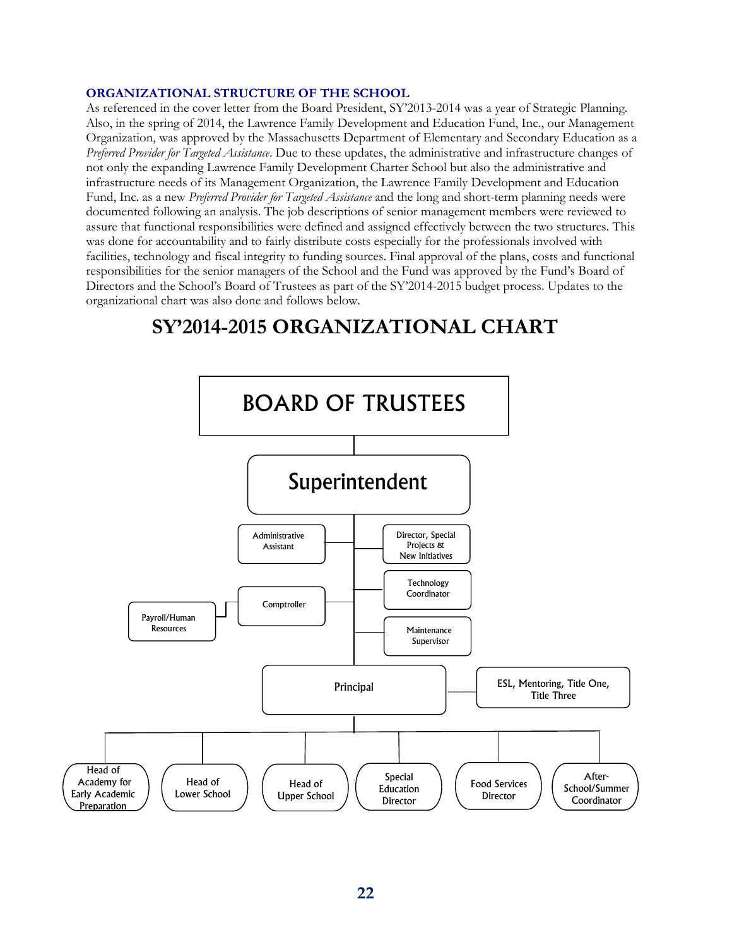#### **ORGANIZATIONAL STRUCTURE OF THE SCHOOL**

As referenced in the cover letter from the Board President, SY'2013-2014 was a year of Strategic Planning. Also, in the spring of 2014, the Lawrence Family Development and Education Fund, Inc., our Management Organization, was approved by the Massachusetts Department of Elementary and Secondary Education as a *Preferred Provider for Targeted Assistance*. Due to these updates, the administrative and infrastructure changes of not only the expanding Lawrence Family Development Charter School but also the administrative and infrastructure needs of its Management Organization, the Lawrence Family Development and Education Fund, Inc. as a new *Preferred Provider for Targeted Assistance* and the long and short-term planning needs were documented following an analysis. The job descriptions of senior management members were reviewed to assure that functional responsibilities were defined and assigned effectively between the two structures. This was done for accountability and to fairly distribute costs especially for the professionals involved with facilities, technology and fiscal integrity to funding sources. Final approval of the plans, costs and functional responsibilities for the senior managers of the School and the Fund was approved by the Fund's Board of Directors and the School's Board of Trustees as part of the SY'2014-2015 budget process. Updates to the organizational chart was also done and follows below.

## **SY'2014-2015 ORGANIZATIONAL CHART**

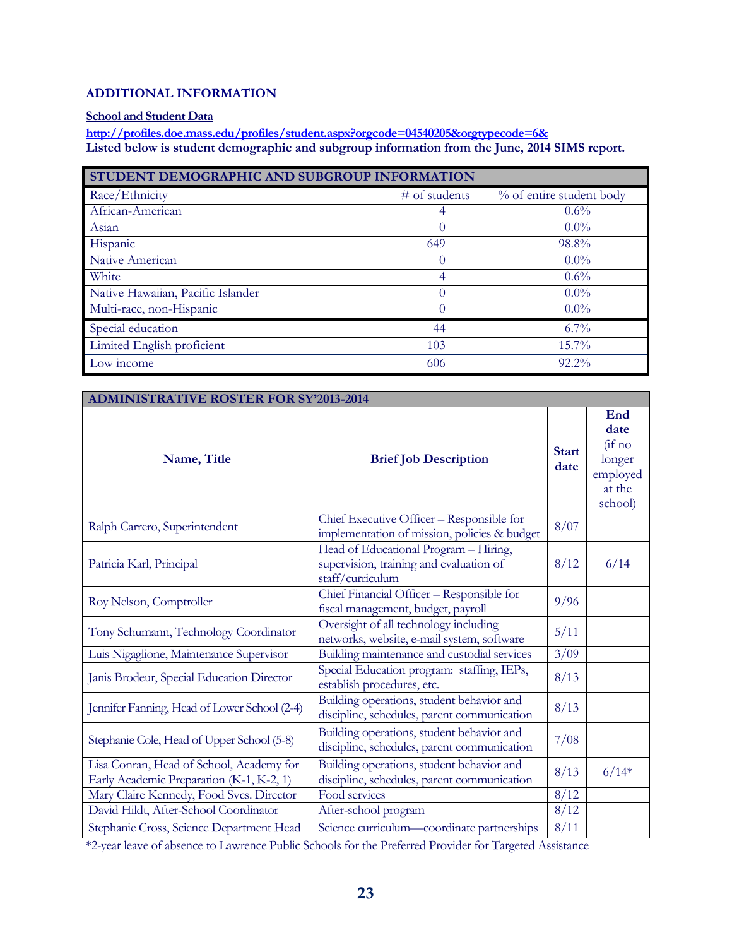#### **ADDITIONAL INFORMATION**

#### **School and Student Data**

**<http://profiles.doe.mass.edu/profiles/student.aspx?orgcode=04540205&orgtypecode=6&> Listed below is student demographic and subgroup information from the June, 2014 SIMS report.**

| STUDENT DEMOGRAPHIC AND SUBGROUP INFORMATION |                 |                          |  |
|----------------------------------------------|-----------------|--------------------------|--|
| Race/Ethnicity                               | $#$ of students | % of entire student body |  |
| African-American                             | 4               | $0.6\%$                  |  |
| Asian                                        | 0               | $0.0\%$                  |  |
| Hispanic                                     | 649             | 98.8%                    |  |
| Native American                              | 0               | $0.0\%$                  |  |
| White                                        | 4               | $0.6\%$                  |  |
| Native Hawaiian, Pacific Islander            | $\Omega$        | $0.0\%$                  |  |
| Multi-race, non-Hispanic                     | 0               | $0.0\%$                  |  |
| Special education                            | 44              | $6.7\%$                  |  |
| Limited English proficient                   | 103             | $15.7\%$                 |  |
| Low income                                   | 606             | $92.2\%$                 |  |

| <b>ADMINISTRATIVE ROSTER FOR SY'2013-2014</b>                                        |                                                                                                      |                      |                                                                  |  |
|--------------------------------------------------------------------------------------|------------------------------------------------------------------------------------------------------|----------------------|------------------------------------------------------------------|--|
| <b>Brief Job Description</b><br>Name, Title                                          |                                                                                                      | <b>Start</b><br>date | End<br>date<br>(i f n<br>longer<br>employed<br>at the<br>school) |  |
| Ralph Carrero, Superintendent                                                        | Chief Executive Officer - Responsible for<br>implementation of mission, policies & budget            | 8/07                 |                                                                  |  |
| Patricia Karl, Principal                                                             | Head of Educational Program - Hiring,<br>supervision, training and evaluation of<br>staff/curriculum | 8/12                 | 6/14                                                             |  |
| Roy Nelson, Comptroller                                                              | Chief Financial Officer - Responsible for<br>fiscal management, budget, payroll                      | 9/96                 |                                                                  |  |
| Tony Schumann, Technology Coordinator                                                | Oversight of all technology including<br>networks, website, e-mail system, software                  | 5/11                 |                                                                  |  |
| Luis Nigaglione, Maintenance Supervisor                                              | Building maintenance and custodial services                                                          | 3/09                 |                                                                  |  |
| Janis Brodeur, Special Education Director                                            | Special Education program: staffing, IEPs,<br>establish procedures, etc.                             | 8/13                 |                                                                  |  |
| Jennifer Fanning, Head of Lower School (2-4)                                         | Building operations, student behavior and<br>discipline, schedules, parent communication             | 8/13                 |                                                                  |  |
| Stephanie Cole, Head of Upper School (5-8)                                           | Building operations, student behavior and<br>discipline, schedules, parent communication             | 7/08                 |                                                                  |  |
| Lisa Conran, Head of School, Academy for<br>Early Academic Preparation (K-1, K-2, 1) | Building operations, student behavior and<br>discipline, schedules, parent communication             | 8/13                 | $6/14*$                                                          |  |
| Mary Claire Kennedy, Food Svcs. Director                                             | Food services                                                                                        | 8/12                 |                                                                  |  |
| David Hildt, After-School Coordinator                                                | After-school program                                                                                 | 8/12                 |                                                                  |  |
| Stephanie Cross, Science Department Head                                             | Science curriculum-coordinate partnerships                                                           | 8/11                 |                                                                  |  |

\*2-year leave of absence to Lawrence Public Schools for the Preferred Provider for Targeted Assistance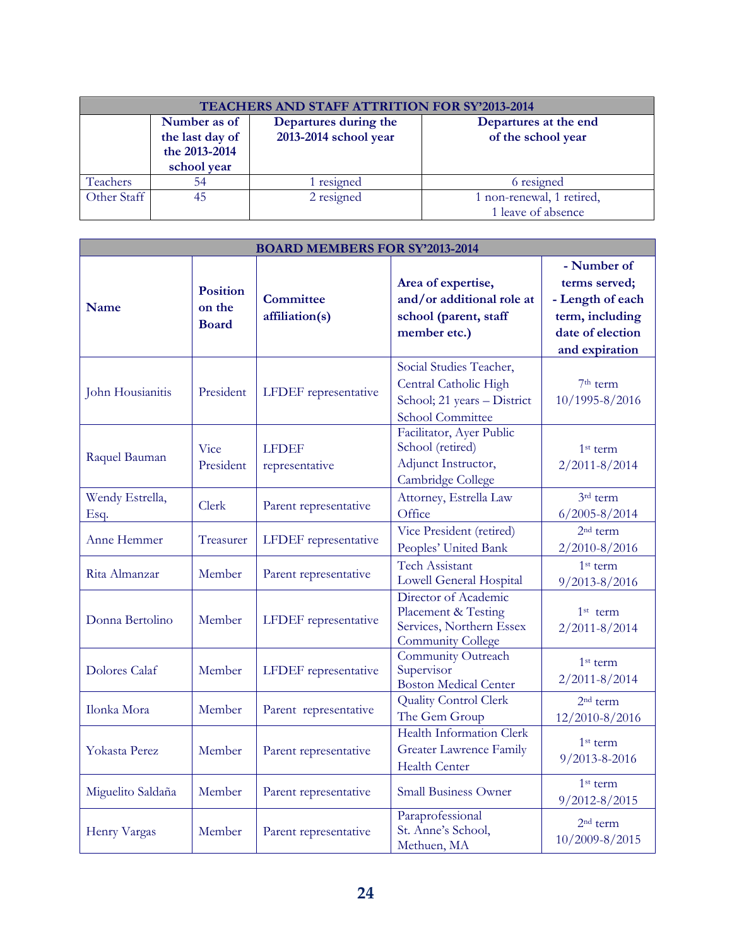| TEACHERS AND STAFF ATTRITION FOR SY'2013-2014 |                                                                 |                                                |                                                 |  |
|-----------------------------------------------|-----------------------------------------------------------------|------------------------------------------------|-------------------------------------------------|--|
|                                               | Number as of<br>the last day of<br>the 2013-2014<br>school year | Departures during the<br>2013-2014 school year | Departures at the end<br>of the school year     |  |
| Teachers                                      | 54                                                              | 1 resigned                                     | 6 resigned                                      |  |
| Other Staff                                   | 45                                                              | 2 resigned                                     | 1 non-renewal, 1 retired,<br>1 leave of absence |  |

| <b>BOARD MEMBERS FOR SY'2013-2014</b> |                                           |                                    |                                                                                                            |                                                                                                           |
|---------------------------------------|-------------------------------------------|------------------------------------|------------------------------------------------------------------------------------------------------------|-----------------------------------------------------------------------------------------------------------|
| Name                                  | <b>Position</b><br>on the<br><b>Board</b> | <b>Committee</b><br>affiliation(s) | Area of expertise,<br>and/or additional role at<br>school (parent, staff<br>member etc.)                   | - Number of<br>terms served;<br>- Length of each<br>term, including<br>date of election<br>and expiration |
| John Housianitis                      | President                                 | LFDEF representative               | Social Studies Teacher,<br>Central Catholic High<br>School; 21 years - District<br><b>School Committee</b> | 7 <sup>th</sup> term<br>10/1995-8/2016                                                                    |
| Raquel Bauman                         | Vice<br>President                         | <b>LFDEF</b><br>representative     | Facilitator, Ayer Public<br>School (retired)<br>Adjunct Instructor,<br>Cambridge College                   | $1st$ term<br>$2/2011 - 8/2014$                                                                           |
| Wendy Estrella,<br>Esq.               | Clerk                                     | Parent representative              | Attorney, Estrella Law<br>Office                                                                           | 3rd term<br>$6/2005 - 8/2014$                                                                             |
| Anne Hemmer                           | Treasurer                                 | LFDEF representative               | Vice President (retired)<br>Peoples' United Bank                                                           | 2 <sup>nd</sup> term<br>2/2010-8/2016                                                                     |
| Rita Almanzar                         | Member                                    | Parent representative              | <b>Tech Assistant</b><br>Lowell General Hospital                                                           | $1st$ term<br>9/2013-8/2016                                                                               |
| Donna Bertolino                       | Member                                    | LFDEF representative               | Director of Academic<br>Placement & Testing<br>Services, Northern Essex<br><b>Community College</b>        | $1st$ term<br>$2/2011 - 8/2014$                                                                           |
| <b>Dolores Calaf</b>                  | Member                                    | LFDEF representative               | Community Outreach<br>Supervisor<br><b>Boston Medical Center</b>                                           | $1st$ term<br>$2/2011 - 8/2014$                                                                           |
| Ilonka Mora                           | Member                                    | Parent representative              | <b>Quality Control Clerk</b><br>The Gem Group                                                              | 2 <sup>nd</sup> term<br>12/2010-8/2016                                                                    |
| Yokasta Perez                         | Member                                    | Parent representative              | <b>Health Information Clerk</b><br><b>Greater Lawrence Family</b><br><b>Health Center</b>                  | 1 <sup>st</sup> term<br>$9/2013 - 8 - 2016$                                                               |
| Miguelito Saldaña                     | Member                                    | Parent representative              | <b>Small Business Owner</b>                                                                                | $1st$ term<br>$9/2012 - 8/2015$                                                                           |
| Henry Vargas                          | Member                                    | Parent representative              | Paraprofessional<br>St. Anne's School,<br>Methuen, MA                                                      | $2nd$ term<br>10/2009-8/2015                                                                              |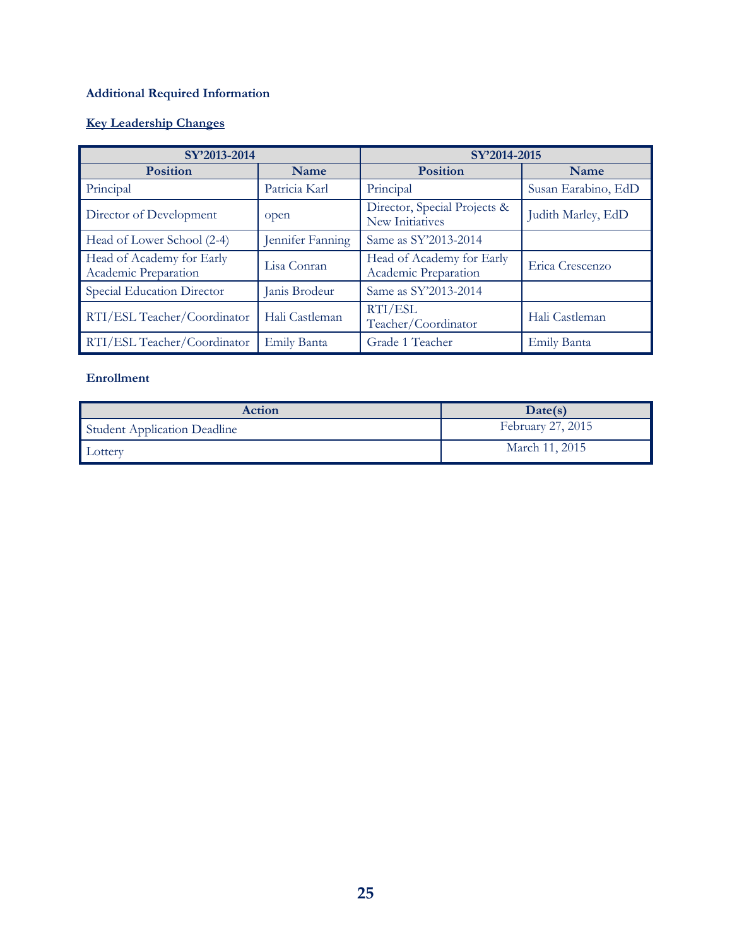### **Additional Required Information**

### **Key Leadership Changes**

| SY'2013-2014                                      |                  | SY'2014-2015                                      |                     |
|---------------------------------------------------|------------------|---------------------------------------------------|---------------------|
| <b>Position</b>                                   | Name             | <b>Position</b>                                   | Name                |
| Principal                                         | Patricia Karl    | Principal                                         | Susan Earabino, EdD |
| Director of Development                           | open             | Director, Special Projects &<br>New Initiatives   | Judith Marley, EdD  |
| Head of Lower School (2-4)                        | Jennifer Fanning | Same as SY'2013-2014                              |                     |
| Head of Academy for Early<br>Academic Preparation | Lisa Conran      | Head of Academy for Early<br>Academic Preparation | Erica Crescenzo     |
| Special Education Director                        | Janis Brodeur    | Same as SY'2013-2014                              |                     |
| RTI/ESL Teacher/Coordinator                       | Hali Castleman   | RTI/ESL<br>Teacher/Coordinator                    | Hali Castleman      |
| RTI/ESL Teacher/Coordinator                       | Emily Banta      | Grade 1 Teacher                                   | Emily Banta         |

#### **Enrollment**

| Action                              | Date(s)           |
|-------------------------------------|-------------------|
| <b>Student Application Deadline</b> | February 27, 2015 |
| Lottery                             | March 11, 2015    |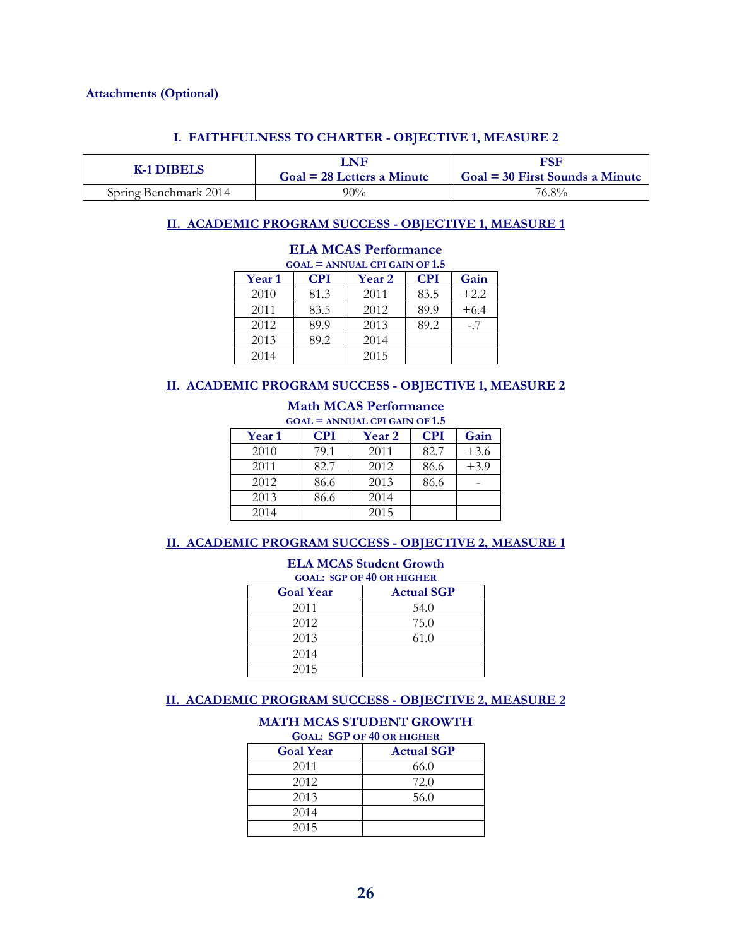#### **Attachments (Optional)**

#### **I. FAITHFULNESS TO CHARTER - OBJECTIVE 1, MEASURE 2**

| K-1 DIBELS            | LNF<br>$Goal = 28$ Letters a Minute | FSF<br>$Goal = 30$ First Sounds a Minute |
|-----------------------|-------------------------------------|------------------------------------------|
| Spring Benchmark 2014 | $90\%$                              | 76.8%                                    |

#### **II. ACADEMIC PROGRAM SUCCESS - OBJECTIVE 1, MEASURE 1**

| $GOAL = ANNUAL$ CPI GAIN OF 1.5 |            |        |            |        |  |  |  |
|---------------------------------|------------|--------|------------|--------|--|--|--|
| <b>Year 1</b>                   | <b>CPI</b> | Year 2 | <b>CPI</b> | Gain   |  |  |  |
| 2010                            | 81.3       | 2011   | 83.5       | $+2.2$ |  |  |  |
| 2011                            | 83.5       | 2012   | 89.9       | $+6.4$ |  |  |  |
| 2012                            | 89.9       | 2013   | 89.2       | $-.7$  |  |  |  |
| 2013                            | 89.2       | 2014   |            |        |  |  |  |
| 2014                            |            | 2015   |            |        |  |  |  |

### **ELA MCAS Performance**

#### **II. ACADEMIC PROGRAM SUCCESS - OBJECTIVE 1, MEASURE 2**

#### **Math MCAS Performance GOAL = ANNUAL CPI GAIN OF 1.5**

| $0.011$ – Alvelle CI I OAIR OF 1.9 |            |               |            |        |  |  |  |  |
|------------------------------------|------------|---------------|------------|--------|--|--|--|--|
| <b>Year 1</b>                      | <b>CPI</b> | <b>Year 2</b> | <b>CPI</b> | Gain   |  |  |  |  |
| 2010                               | 79.1       | 2011          | 82.7       | $+3.6$ |  |  |  |  |
| 2011                               | 82.7       | 2012          | 86.6       | $+3.9$ |  |  |  |  |
| 2012                               | 86.6       | 2013          | 86.6       |        |  |  |  |  |
| 2013                               | 86.6       | 2014          |            |        |  |  |  |  |
| 2014                               |            | 2015          |            |        |  |  |  |  |

#### **II. ACADEMIC PROGRAM SUCCESS - OBJECTIVE 2, MEASURE 1**

| <b>ELA MCAS Student Growth</b><br><b>GOAL: SGP OF 40 OR HIGHER</b> |      |  |  |  |  |
|--------------------------------------------------------------------|------|--|--|--|--|
| <b>Actual SGP</b><br><b>Goal Year</b>                              |      |  |  |  |  |
| 2011                                                               | 54.0 |  |  |  |  |
| 2012                                                               | 75.0 |  |  |  |  |
| 2013                                                               | 61.0 |  |  |  |  |
| 2014                                                               |      |  |  |  |  |
| 2015                                                               |      |  |  |  |  |

#### **II. ACADEMIC PROGRAM SUCCESS - OBJECTIVE 2, MEASURE 2**

#### **MATH MCAS STUDENT GROWTH GOAL: SGP OF 40 OR HIGHER**

| <b>Goal Year</b> | <b>Actual SGP</b> |
|------------------|-------------------|
| 2011             | 66.0              |
| 2012             | 72.0              |
| 2013             | 56.0              |
| 2014             |                   |
| 2015             |                   |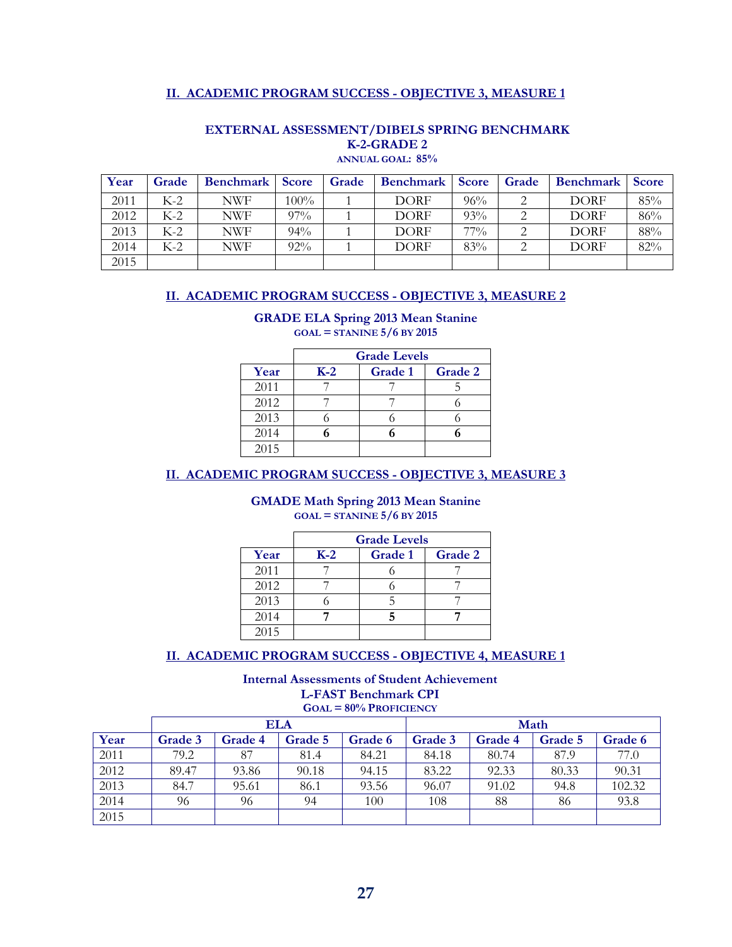#### **II. ACADEMIC PROGRAM SUCCESS - OBJECTIVE 3, MEASURE 1**

| Year | Grade | <b>Benchmark</b> | <b>Score</b> | Grade | <b>Benchmark</b> | <b>Score</b> | Grade | <b>Benchmark</b> | <b>Score</b> |
|------|-------|------------------|--------------|-------|------------------|--------------|-------|------------------|--------------|
| 2011 | $K-2$ | NWF              | $100\%$      |       | <b>DORF</b>      | 96%          |       | <b>DORF</b>      | 85%          |
| 2012 | $K-2$ | NWF              | $97\%$       |       | <b>DORF</b>      | 93%          |       | <b>DORF</b>      | 86%          |
| 2013 | $K-2$ | NWF              | $94\%$       |       | <b>DORF</b>      | $77\%$       |       | <b>DORF</b>      | 88%          |
| 2014 | $K-2$ | NWF              | 92%          |       | <b>DORF</b>      | 83%          |       | <b>DORF</b>      | 82%          |
| 2015 |       |                  |              |       |                  |              |       |                  |              |

#### **EXTERNAL ASSESSMENT/DIBELS SPRING BENCHMARK K-2-GRADE 2 ANNUAL GOAL: 85%**

#### **II. ACADEMIC PROGRAM SUCCESS - OBJECTIVE 3, MEASURE 2**

#### **GRADE ELA Spring 2013 Mean Stanine GOAL = STANINE 5/6 BY 2015**

|      | <b>Grade Levels</b> |                |         |  |  |  |  |  |
|------|---------------------|----------------|---------|--|--|--|--|--|
| Year | $K-2$               | <b>Grade 1</b> | Grade 2 |  |  |  |  |  |
| 2011 |                     |                |         |  |  |  |  |  |
| 2012 |                     |                |         |  |  |  |  |  |
| 2013 |                     |                |         |  |  |  |  |  |
| 2014 |                     |                |         |  |  |  |  |  |
| 2015 |                     |                |         |  |  |  |  |  |

#### **II. ACADEMIC PROGRAM SUCCESS - OBJECTIVE 3, MEASURE 3**

#### **GMADE Math Spring 2013 Mean Stanine GOAL = STANINE 5/6 BY 2015**

|      | <b>Grade Levels</b> |         |         |  |  |  |  |  |
|------|---------------------|---------|---------|--|--|--|--|--|
| Year | $K-2$               | Grade 1 | Grade 2 |  |  |  |  |  |
| 2011 |                     |         |         |  |  |  |  |  |
| 2012 |                     |         |         |  |  |  |  |  |
| 2013 |                     |         |         |  |  |  |  |  |
| 2014 |                     |         |         |  |  |  |  |  |
| 2015 |                     |         |         |  |  |  |  |  |

#### **II. ACADEMIC PROGRAM SUCCESS - OBJECTIVE 4, MEASURE 1**

#### **Internal Assessments of Student Achievement L-FAST Benchmark CPI**

**GOAL = 80% PROFICIENCY**

|      |         |                | ELA     |         | Math           |         |         |         |
|------|---------|----------------|---------|---------|----------------|---------|---------|---------|
| Year | Grade 3 | <b>Grade 4</b> | Grade 5 | Grade 6 | <b>Grade 3</b> | Grade 4 | Grade 5 | Grade 6 |
| 2011 | 79.2    | 87             | 81.4    | 84.21   | 84.18          | 80.74   | 87.9    | 77.0    |
| 2012 | 89.47   | 93.86          | 90.18   | 94.15   | 83.22          | 92.33   | 80.33   | 90.31   |
| 2013 | 84.7    | 95.61          | 86.1    | 93.56   | 96.07          | 91.02   | 94.8    | 102.32  |
| 2014 | 96      | 96             | 94      | 100     | 108            | 88      | 86      | 93.8    |
| 2015 |         |                |         |         |                |         |         |         |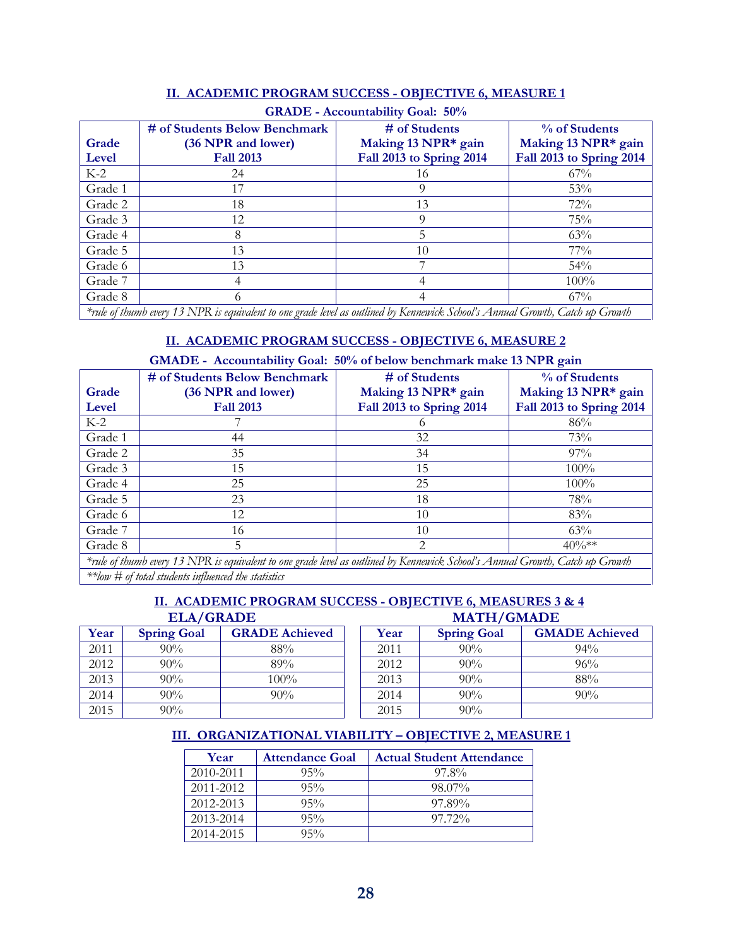| <b>GRADE - Accountability Goal: 50%</b> |                                                                                                                              |                          |                          |  |  |  |  |
|-----------------------------------------|------------------------------------------------------------------------------------------------------------------------------|--------------------------|--------------------------|--|--|--|--|
|                                         | # of Students Below Benchmark                                                                                                | # of Students            | % of Students            |  |  |  |  |
| Grade                                   | (36 NPR and lower)                                                                                                           | Making 13 NPR* gain      | Making 13 NPR* gain      |  |  |  |  |
| Level                                   | <b>Fall 2013</b>                                                                                                             | Fall 2013 to Spring 2014 | Fall 2013 to Spring 2014 |  |  |  |  |
| $K-2$                                   | 24                                                                                                                           | 16                       | $67\%$                   |  |  |  |  |
| Grade 1                                 |                                                                                                                              |                          | 53%                      |  |  |  |  |
| Grade 2                                 | 18                                                                                                                           | 13                       | 72%                      |  |  |  |  |
| Grade 3                                 | 12                                                                                                                           | 9                        | 75%                      |  |  |  |  |
| Grade 4                                 | 8                                                                                                                            | 5                        | 63%                      |  |  |  |  |
| Grade 5                                 | 13                                                                                                                           | 10                       | $77\%$                   |  |  |  |  |
| Grade 6                                 | 13                                                                                                                           |                          | $54\%$                   |  |  |  |  |
| Grade 7                                 | 4                                                                                                                            |                          | $100\%$                  |  |  |  |  |
| Grade 8                                 |                                                                                                                              |                          | 67%                      |  |  |  |  |
|                                         | *rule of thumb every 13 NPR is equivalent to one orade level as outlined by Kennewick School's Annual Growth Catch up Growth |                          |                          |  |  |  |  |

#### **II. ACADEMIC PROGRAM SUCCESS - OBJECTIVE 6, MEASURE 1**

*\*rule of thumb every 13 NPR is equivalent to one grade level as outlined by Kennewick School's Annual Growth, Catch up Growth*

#### **II. ACADEMIC PROGRAM SUCCESS - OBJECTIVE 6, MEASURE 2**

#### **GMADE - Accountability Goal: 50% of below benchmark make 13 NPR gain**

|         | # of Students Below Benchmark                                                                                                 | # of Students            | % of Students            |
|---------|-------------------------------------------------------------------------------------------------------------------------------|--------------------------|--------------------------|
| Grade   | (36 NPR and lower)                                                                                                            | Making 13 NPR* gain      | Making 13 NPR* gain      |
| Level   | <b>Fall 2013</b>                                                                                                              | Fall 2013 to Spring 2014 | Fall 2013 to Spring 2014 |
| $K-2$   |                                                                                                                               |                          | 86%                      |
| Grade 1 | 44                                                                                                                            | 32                       | 73%                      |
| Grade 2 | 35                                                                                                                            | 34                       | 97%                      |
| Grade 3 | 15                                                                                                                            | 15                       | $100\%$                  |
| Grade 4 | 25                                                                                                                            | 25                       | $100\%$                  |
| Grade 5 | 23                                                                                                                            | 18                       | 78%                      |
| Grade 6 | 12                                                                                                                            | 10                       | 83%                      |
| Grade 7 | 16                                                                                                                            | 10                       | 63%                      |
| Grade 8 | 5                                                                                                                             | 2                        | $40\%**$                 |
|         | *rule of thumb every 13 NPR is equivalent to one grade level as outlined by Kennewick School's Annual Growth, Catch up Growth |                          |                          |

*\*\*low # of total students influenced the statistics*

### **II. ACADEMIC PROGRAM SUCCESS - OBJECTIVE 6, MEASURES 3 & 4**  $ELA/GRADE$

| Year | <b>Spring Goal</b> | <b>GRADE Achieved</b> | Year | <b>Spring Goal</b> | <b>GMADE A</b> |
|------|--------------------|-----------------------|------|--------------------|----------------|
| 2011 | $90\%$             | 88%                   | 2011 | $90\%$             | 94%            |
| 2012 | 90%                | 89%                   | 2012 | 90%                | 96%            |
| 2013 | 90%                | $100\%$               | 2013 | 90%                | 88%            |
| 2014 | $90\%$             | $90\%$                | 2014 | 90%                | 90%            |
| 2015 | $90\%$             |                       | 2015 | 90%                |                |

| LLA/ UNADL |                    |                       | MAIN/UMADE |                    |                       |  |  |
|------------|--------------------|-----------------------|------------|--------------------|-----------------------|--|--|
| Year       | <b>Spring Goal</b> | <b>GRADE Achieved</b> | Year       | <b>Spring Goal</b> | <b>GMADE Achieved</b> |  |  |
| 2011       | $90\%$             | 88%                   | 2011       | $90\%$             | 94%                   |  |  |
| 2012       | $90\%$             | 89%                   | 2012       | 90%                | 96%                   |  |  |
| 2013       | $90\%$             | $100\%$               | 2013       | 90%                | 88%                   |  |  |
| 2014       | $90\%$             | $90\%$                | 2014       | $90\%$             | $90\%$                |  |  |
| 2015       | 90%                |                       | 2015       | $90\%$             |                       |  |  |

### **III. ORGANIZATIONAL VIABILITY – OBJECTIVE 2, MEASURE 1**

| Year      | <b>Attendance Goal</b> | <b>Actual Student Attendance</b> |
|-----------|------------------------|----------------------------------|
| 2010-2011 | $95\%$                 | 97.8%                            |
| 2011-2012 | $95\%$                 | 98.07%                           |
| 2012-2013 | $95\%$                 | 97.89%                           |
| 2013-2014 | $95\%$                 | $97.72\%$                        |
| 2014-2015 | $95\%$                 |                                  |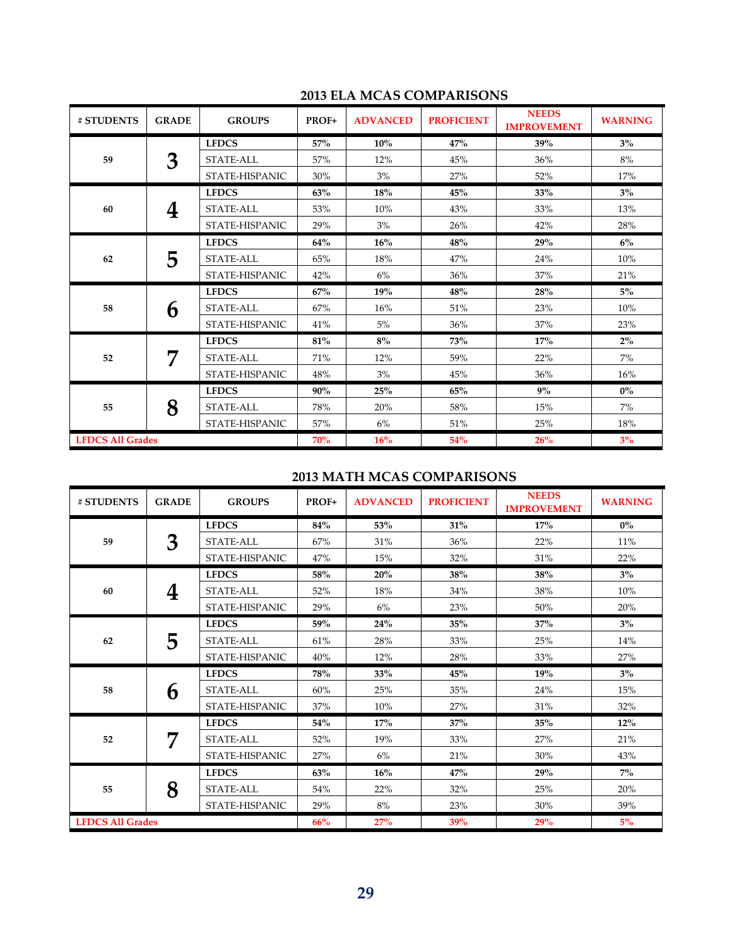| # STUDENTS              | <b>GRADE</b> | <b>GROUPS</b>    | PROF+      | <b>ADVANCED</b> | <b>PROFICIENT</b> | <b>NEEDS</b><br><b>IMPROVEMENT</b> | <b>WARNING</b> |
|-------------------------|--------------|------------------|------------|-----------------|-------------------|------------------------------------|----------------|
|                         |              | <b>LFDCS</b>     | 57%        | 10%             | 47%               | 39%                                | $3\%$          |
| 59                      | 3            | STATE-ALL        | 57%        | 12%             | 45%               | 36%                                | 8%             |
|                         |              | STATE-HISPANIC   | 30%        | 3%              | 27%               | 52%                                | 17%            |
|                         |              | <b>LFDCS</b>     | 63%        | 18%             | 45%               | 33%                                | $3\%$          |
| 60                      | 4            | STATE-ALL        | 53%        | 10%             | 43%               | 33%                                | 13%            |
|                         |              | STATE-HISPANIC   | 29%        | 3%              | 26%               | 42%                                | 28%            |
|                         |              | <b>LFDCS</b>     | 64%        | 16%             | 48%               | 29%                                | 6%             |
| 62                      | 5            | STATE-ALL        | 65%        | 18%             | 47%               | 24%                                | 10%            |
|                         |              | STATE-HISPANIC   | 42%        | 6%              | 36%               | 37%                                | 21%            |
|                         | 6            | <b>LFDCS</b>     | 67%        | <b>19%</b>      | 48%               | 28%                                | $5\%$          |
| 58                      |              | STATE-ALL        | 67%        | 16%             | 51%               | 23%                                | 10%            |
|                         |              | STATE-HISPANIC   | 41%        | 5%              | 36%               | 37%                                | 23%            |
|                         | 7            | <b>LFDCS</b>     | 81%        | $8\%$           | 73%               | 17%                                | $2\%$          |
| 52                      |              | <b>STATE-ALL</b> | 71%        | 12%             | 59%               | 22%                                | 7%             |
|                         |              | STATE-HISPANIC   | 48%        | 3%              | 45%               | 36%                                | 16%            |
| 55                      |              | <b>LFDCS</b>     | 90%        | 25%             | 65%               | 9%                                 | $0\%$          |
|                         | 8            | STATE-ALL        | 78%        | 20%             | 58%               | 15%                                | 7%             |
|                         |              | STATE-HISPANIC   | 57%        | 6%              | 51%               | 25%                                | 18%            |
| <b>LFDCS All Grades</b> |              |                  | <b>70%</b> | 16%             | 54%               | 26%                                | 3%             |

### **2013 ELA MCAS COMPARISONS**

### **2013 MATH MCAS COMPARISONS**

| # STUDENTS              | <b>GRADE</b> | <b>GROUPS</b>    | PROF+ | <b>ADVANCED</b> | <b>PROFICIENT</b> | <b>NEEDS</b><br><b>IMPROVEMENT</b> | <b>WARNING</b> |
|-------------------------|--------------|------------------|-------|-----------------|-------------------|------------------------------------|----------------|
|                         |              | <b>LFDCS</b>     | 84%   | 53%             | 31%               | 17%                                | $0\%$          |
| 59                      | 3            | <b>STATE-ALL</b> | 67%   | 31%             | 36%               | 22%                                | 11%            |
|                         |              | STATE-HISPANIC   | 47%   | 15%             | 32%               | 31%                                | 22%            |
|                         |              | <b>LFDCS</b>     | 58%   | 20%             | 38%               | 38%                                | $3\%$          |
| 60                      | 4            | <b>STATE-ALL</b> | 52%   | 18%             | 34%               | 38%                                | 10%            |
|                         |              | STATE-HISPANIC   | 29%   | 6%              | 23%               | 50%                                | 20%            |
|                         | 5            | <b>LFDCS</b>     | 59%   | 24%             | 35%               | 37%                                | $3\%$          |
| 62                      |              | <b>STATE-ALL</b> | 61%   | 28%             | 33%               | 25%                                | 14%            |
|                         |              | STATE-HISPANIC   | 40%   | 12%             | 28%               | 33%                                | 27%            |
|                         | 6            | <b>LFDCS</b>     | 78%   | 33%             | 45%               | 19%                                | $3\%$          |
| 58                      |              | <b>STATE-ALL</b> | 60%   | 25%             | 35%               | 24%                                | 15%            |
|                         |              | STATE-HISPANIC   | 37%   | 10%             | 27%               | 31%                                | 32%            |
|                         | 7            | <b>LFDCS</b>     | 54%   | 17%             | 37%               | 35%                                | 12%            |
| 52                      |              | STATE-ALL        | 52%   | 19%             | 33%               | 27%                                | 21%            |
|                         |              | STATE-HISPANIC   | 27%   | 6%              | 21%               | 30%                                | 43%            |
| 55                      |              | <b>LFDCS</b>     | 63%   | 16%             | 47%               | 29%                                | $7\%$          |
|                         | 8            | <b>STATE-ALL</b> | 54%   | 22%             | 32%               | 25%                                | 20%            |
|                         |              | STATE-HISPANIC   | 29%   | 8%              | 23%               | 30%                                | 39%            |
| <b>LFDCS All Grades</b> |              |                  | 66%   | 27%             | 39%               | 29%                                | 5%             |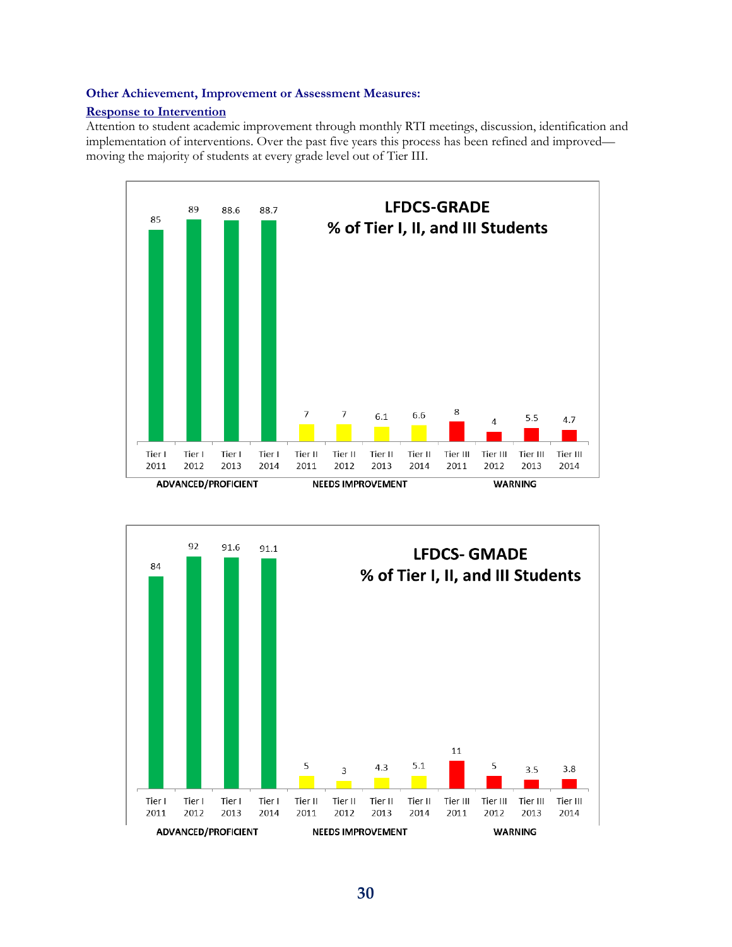#### **Other Achievement, Improvement or Assessment Measures:**

#### **Response to Intervention**

Attention to student academic improvement through monthly RTI meetings, discussion, identification and implementation of interventions. Over the past five years this process has been refined and improved moving the majority of students at every grade level out of Tier III.



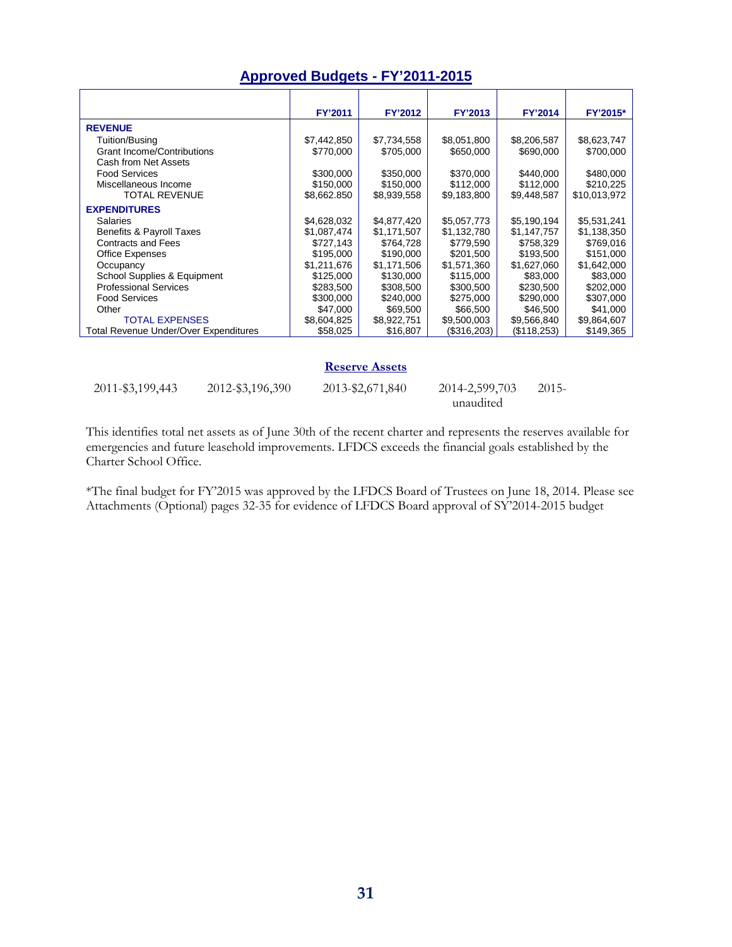### **Approved Budgets - FY'2011-2015**

|                                              | <b>FY'2011</b> | <b>FY'2012</b> | <b>FY'2013</b> | <b>FY'2014</b> | FY'2015*     |
|----------------------------------------------|----------------|----------------|----------------|----------------|--------------|
| <b>REVENUE</b>                               |                |                |                |                |              |
| Tuition/Busing                               | \$7,442,850    | \$7,734,558    | \$8,051,800    | \$8,206,587    | \$8,623,747  |
| <b>Grant Income/Contributions</b>            | \$770,000      | \$705,000      | \$650,000      | \$690,000      | \$700,000    |
| Cash from Net Assets                         |                |                |                |                |              |
| <b>Food Services</b>                         | \$300,000      | \$350,000      | \$370,000      | \$440,000      | \$480,000    |
| Miscellaneous Income                         | \$150,000      | \$150,000      | \$112,000      | \$112,000      | \$210,225    |
| <b>TOTAL REVENUE</b>                         | \$8,662.850    | \$8,939,558    | \$9,183,800    | \$9,448,587    | \$10,013,972 |
| <b>EXPENDITURES</b>                          |                |                |                |                |              |
| Salaries                                     | \$4,628,032    | \$4,877,420    | \$5,057,773    | \$5,190,194    | \$5,531,241  |
| Benefits & Payroll Taxes                     | \$1,087,474    | \$1,171,507    | \$1,132,780    | \$1,147,757    | \$1,138,350  |
| <b>Contracts and Fees</b>                    | \$727,143      | \$764,728      | \$779,590      | \$758,329      | \$769,016    |
| <b>Office Expenses</b>                       | \$195,000      | \$190,000      | \$201,500      | \$193,500      | \$151,000    |
| Occupancy                                    | \$1,211,676    | \$1,171,506    | \$1,571,360    | \$1,627,060    | \$1,642,000  |
| School Supplies & Equipment                  | \$125,000      | \$130,000      | \$115,000      | \$83,000       | \$83,000     |
| <b>Professional Services</b>                 | \$283,500      | \$308,500      | \$300.500      | \$230,500      | \$202,000    |
| <b>Food Services</b>                         | \$300,000      | \$240,000      | \$275,000      | \$290,000      | \$307,000    |
| Other                                        | \$47,000       | \$69,500       | \$66,500       | \$46,500       | \$41,000     |
| <b>TOTAL EXPENSES</b>                        | \$8,604,825    | \$8,922,751    | \$9,500,003    | \$9,566,840    | \$9,864,607  |
| <b>Total Revenue Under/Over Expenditures</b> | \$58,025       | \$16,807       | (\$316,203)    | (\$118,253)    | \$149,365    |

#### **Reserve Assets**

| 2011-\$3,199,443 | 2012-\$3,196,390 | 2013-\$2,671,840 | 2014-2,599,703 | $2015-$ |
|------------------|------------------|------------------|----------------|---------|
|                  |                  |                  | unaudited      |         |

This identifies total net assets as of June 30th of the recent charter and represents the reserves available for emergencies and future leasehold improvements. LFDCS exceeds the financial goals established by the Charter School Office.

\*The final budget for FY'2015 was approved by the LFDCS Board of Trustees on June 18, 2014. Please see Attachments (Optional) pages 32-35 for evidence of LFDCS Board approval of SY'2014-2015 budget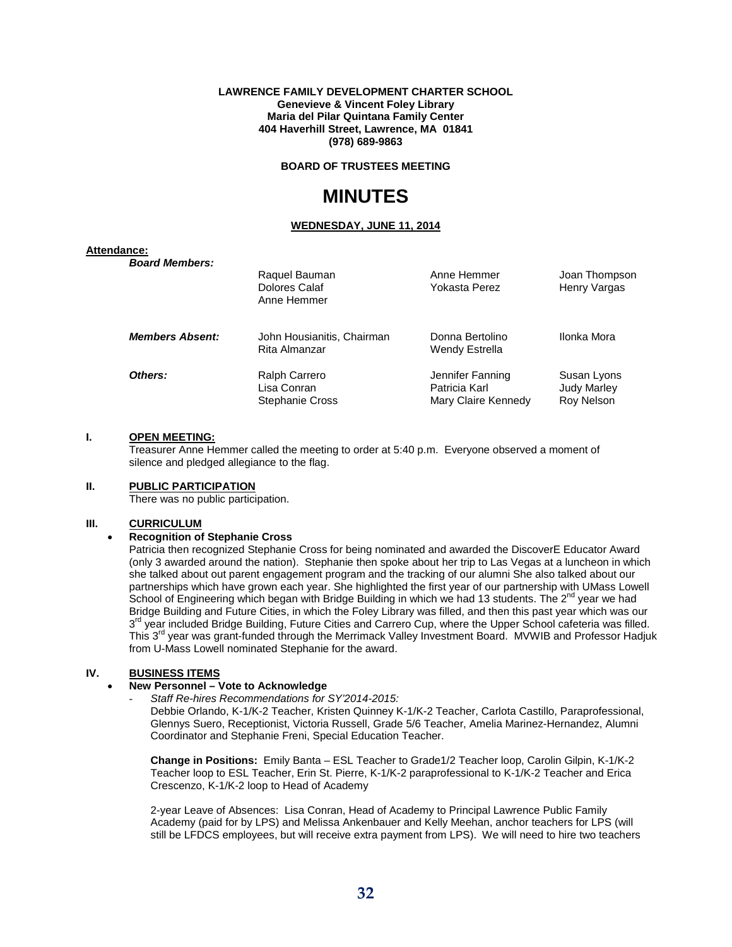#### **LAWRENCE FAMILY DEVELOPMENT CHARTER SCHOOL Genevieve & Vincent Foley Library Maria del Pilar Quintana Family Center 404 Haverhill Street, Lawrence, MA 01841 (978) 689-9863**

**BOARD OF TRUSTEES MEETING**

### **MINUTES**

#### **WEDNESDAY, JUNE 11, 2014**

#### **Attendance:**

| <b>Board Members:</b>  | Raquel Bauman                                          | Anne Hemmer                                              | Joan Thompson                                   |
|------------------------|--------------------------------------------------------|----------------------------------------------------------|-------------------------------------------------|
|                        | Dolores Calaf<br>Anne Hemmer                           | Yokasta Perez                                            | Henry Vargas                                    |
| <b>Members Absent:</b> | John Housianitis, Chairman<br>Rita Almanzar            | Donna Bertolino<br>Wendy Estrella                        | Ilonka Mora                                     |
| Others:                | Ralph Carrero<br>Lisa Conran<br><b>Stephanie Cross</b> | Jennifer Fanning<br>Patricia Karl<br>Mary Claire Kennedy | Susan Lyons<br><b>Judy Marley</b><br>Roy Nelson |

#### **I. OPEN MEETING:**

Treasurer Anne Hemmer called the meeting to order at 5:40 p.m. Everyone observed a moment of silence and pledged allegiance to the flag.

#### **II. PUBLIC PARTICIPATION**

There was no public participation.

#### **III. CURRICULUM**

#### • **Recognition of Stephanie Cross**

Patricia then recognized Stephanie Cross for being nominated and awarded the DiscoverE Educator Award (only 3 awarded around the nation). Stephanie then spoke about her trip to Las Vegas at a luncheon in which she talked about out parent engagement program and the tracking of our alumni She also talked about our partnerships which have grown each year. She highlighted the first year of our partnership with UMass Lowell School of Engineering which began with Bridge Building in which we had 13 students. The 2<sup>nd</sup> year we had Bridge Building and Future Cities, in which the Foley Library was filled, and then this past year which was our 3<sup>rd</sup> year included Bridge Building, Future Cities and Carrero Cup, where the Upper School cafeteria was filled. This 3<sup>rd</sup> year was grant-funded through the Merrimack Valley Investment Board. MVWIB and Professor Hadjuk from U-Mass Lowell nominated Stephanie for the award.

#### **IV. BUSINESS ITEMS**

#### • **New Personnel – Vote to Acknowledge**

- *Staff Re-hires Recommendations for SY'2014-2015:*

Debbie Orlando, K-1/K-2 Teacher, Kristen Quinney K-1/K-2 Teacher, Carlota Castillo, Paraprofessional, Glennys Suero, Receptionist, Victoria Russell, Grade 5/6 Teacher, Amelia Marinez-Hernandez, Alumni Coordinator and Stephanie Freni, Special Education Teacher.

**Change in Positions:** Emily Banta – ESL Teacher to Grade1/2 Teacher loop, Carolin Gilpin, K-1/K-2 Teacher loop to ESL Teacher, Erin St. Pierre, K-1/K-2 paraprofessional to K-1/K-2 Teacher and Erica Crescenzo, K-1/K-2 loop to Head of Academy

2-year Leave of Absences: Lisa Conran, Head of Academy to Principal Lawrence Public Family Academy (paid for by LPS) and Melissa Ankenbauer and Kelly Meehan, anchor teachers for LPS (will still be LFDCS employees, but will receive extra payment from LPS). We will need to hire two teachers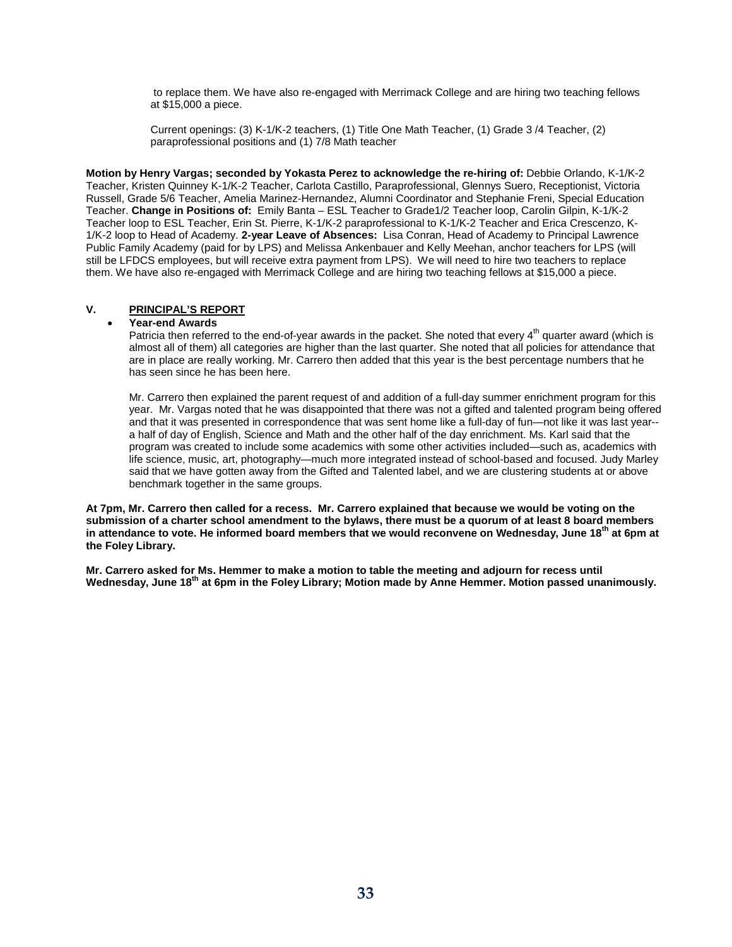to replace them. We have also re-engaged with Merrimack College and are hiring two teaching fellows at \$15,000 a piece.

Current openings: (3) K-1/K-2 teachers, (1) Title One Math Teacher, (1) Grade 3 /4 Teacher, (2) paraprofessional positions and (1) 7/8 Math teacher

**Motion by Henry Vargas; seconded by Yokasta Perez to acknowledge the re-hiring of:** Debbie Orlando, K-1/K-2 Teacher, Kristen Quinney K-1/K-2 Teacher, Carlota Castillo, Paraprofessional, Glennys Suero, Receptionist, Victoria Russell, Grade 5/6 Teacher, Amelia Marinez-Hernandez, Alumni Coordinator and Stephanie Freni, Special Education Teacher. **Change in Positions of:** Emily Banta – ESL Teacher to Grade1/2 Teacher loop, Carolin Gilpin, K-1/K-2 Teacher loop to ESL Teacher, Erin St. Pierre, K-1/K-2 paraprofessional to K-1/K-2 Teacher and Erica Crescenzo, K-1/K-2 loop to Head of Academy. **2-year Leave of Absences:** Lisa Conran, Head of Academy to Principal Lawrence Public Family Academy (paid for by LPS) and Melissa Ankenbauer and Kelly Meehan, anchor teachers for LPS (will still be LFDCS employees, but will receive extra payment from LPS). We will need to hire two teachers to replace them. We have also re-engaged with Merrimack College and are hiring two teaching fellows at \$15,000 a piece.

#### **V. PRINCIPAL'S REPORT**

#### • **Year-end Awards**

Patricia then referred to the end-of-year awards in the packet. She noted that every 4<sup>th</sup> quarter award (which is almost all of them) all categories are higher than the last quarter. She noted that all policies for attendance that are in place are really working. Mr. Carrero then added that this year is the best percentage numbers that he has seen since he has been here.

Mr. Carrero then explained the parent request of and addition of a full-day summer enrichment program for this year. Mr. Vargas noted that he was disappointed that there was not a gifted and talented program being offered and that it was presented in correspondence that was sent home like a full-day of fun—not like it was last year- a half of day of English, Science and Math and the other half of the day enrichment. Ms. Karl said that the program was created to include some academics with some other activities included—such as, academics with life science, music, art, photography—much more integrated instead of school-based and focused. Judy Marley said that we have gotten away from the Gifted and Talented label, and we are clustering students at or above benchmark together in the same groups.

**At 7pm, Mr. Carrero then called for a recess. Mr. Carrero explained that because we would be voting on the submission of a charter school amendment to the bylaws, there must be a quorum of at least 8 board members in attendance to vote. He informed board members that we would reconvene on Wednesday, June 18th at 6pm at the Foley Library.**

**Mr. Carrero asked for Ms. Hemmer to make a motion to table the meeting and adjourn for recess until**  Wednesday, June 18<sup>th</sup> at 6pm in the Foley Library; Motion made by Anne Hemmer. Motion passed unanimously.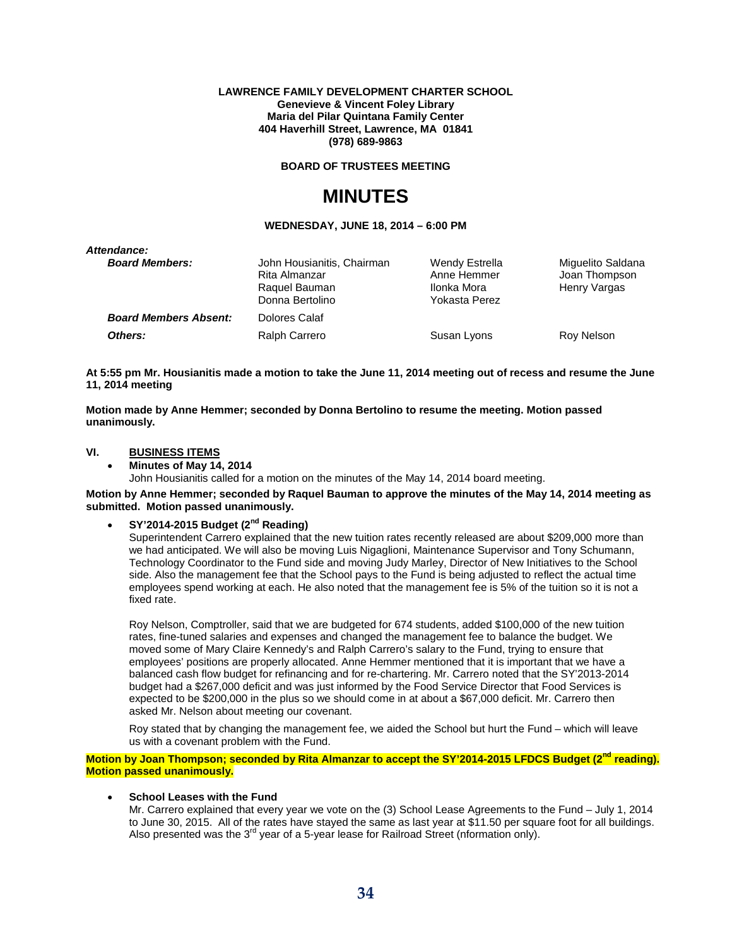#### **LAWRENCE FAMILY DEVELOPMENT CHARTER SCHOOL Genevieve & Vincent Foley Library Maria del Pilar Quintana Family Center 404 Haverhill Street, Lawrence, MA 01841 (978) 689-9863**

**BOARD OF TRUSTEES MEETING**

### **MINUTES**

#### **WEDNESDAY, JUNE 18, 2014 – 6:00 PM**

| John Housianitis, Chairman<br>Rita Almanzar<br>Raquel Bauman<br>Donna Bertolino | Wendy Estrella<br>Anne Hemmer<br>Ilonka Mora<br>Yokasta Perez | Miguelito Saldana<br>Joan Thompson<br>Henry Vargas |
|---------------------------------------------------------------------------------|---------------------------------------------------------------|----------------------------------------------------|
| Dolores Calaf                                                                   |                                                               |                                                    |
| Ralph Carrero                                                                   | Susan Lyons                                                   | Roy Nelson                                         |
|                                                                                 |                                                               |                                                    |

**At 5:55 pm Mr. Housianitis made a motion to take the June 11, 2014 meeting out of recess and resume the June 11, 2014 meeting**

**Motion made by Anne Hemmer; seconded by Donna Bertolino to resume the meeting. Motion passed unanimously.**

#### **VI. BUSINESS ITEMS**

• **Minutes of May 14, 2014** John Housianitis called for a motion on the minutes of the May 14, 2014 board meeting.

**Motion by Anne Hemmer; seconded by Raquel Bauman to approve the minutes of the May 14, 2014 meeting as submitted. Motion passed unanimously.**

• **SY'2014-2015 Budget (2nd Reading)**

Superintendent Carrero explained that the new tuition rates recently released are about \$209,000 more than we had anticipated. We will also be moving Luis Nigaglioni, Maintenance Supervisor and Tony Schumann, Technology Coordinator to the Fund side and moving Judy Marley, Director of New Initiatives to the School side. Also the management fee that the School pays to the Fund is being adjusted to reflect the actual time employees spend working at each. He also noted that the management fee is 5% of the tuition so it is not a fixed rate.

Roy Nelson, Comptroller, said that we are budgeted for 674 students, added \$100,000 of the new tuition rates, fine-tuned salaries and expenses and changed the management fee to balance the budget. We moved some of Mary Claire Kennedy's and Ralph Carrero's salary to the Fund, trying to ensure that employees' positions are properly allocated. Anne Hemmer mentioned that it is important that we have a balanced cash flow budget for refinancing and for re-chartering. Mr. Carrero noted that the SY'2013-2014 budget had a \$267,000 deficit and was just informed by the Food Service Director that Food Services is expected to be \$200,000 in the plus so we should come in at about a \$67,000 deficit. Mr. Carrero then asked Mr. Nelson about meeting our covenant.

Roy stated that by changing the management fee, we aided the School but hurt the Fund – which will leave us with a covenant problem with the Fund.

**Motion by Joan Thompson; seconded by Rita Almanzar to accept the SY'2014-2015 LFDCS Budget (2nd reading). Motion passed unanimously.**

#### **School Leases with the Fund**

Mr. Carrero explained that every year we vote on the (3) School Lease Agreements to the Fund – July 1, 2014 to June 30, 2015. All of the rates have stayed the same as last year at \$11.50 per square foot for all buildings. Also presented was the  $3<sup>rd</sup>$  year of a 5-year lease for Railroad Street (nformation only).